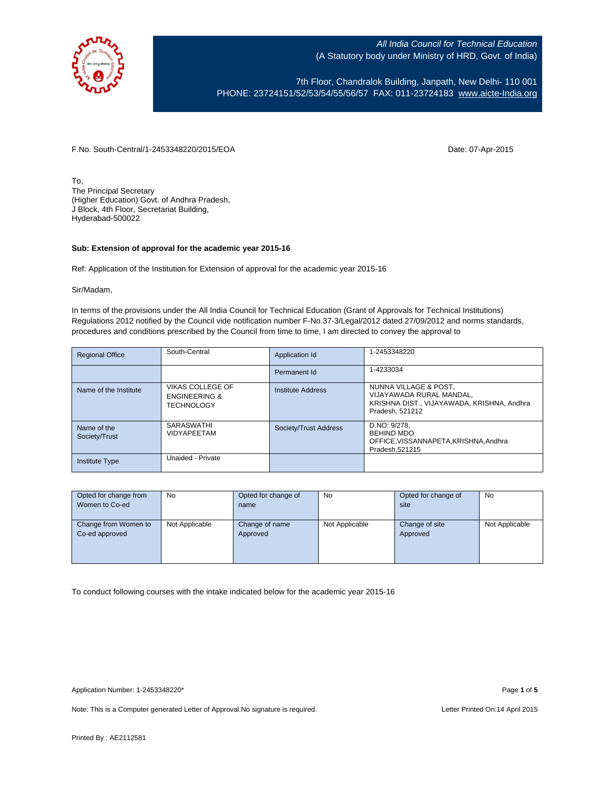

7th Floor, Chandralok Building, Janpath, New Delhi- 110 001 PHONE: 23724151/52/53/54/55/56/57 FAX: 011-23724183 [www.aicte-India.org](http://www.aicte-india.org/)

F.No. South-Central/1-2453348220/2015/EOA Date: 07-Apr-2015

To, The Principal Secretary (Higher Education) Govt. of Andhra Pradesh, J Block, 4th Floor, Secretariat Building, Hyderabad-500022

#### **Sub: Extension of approval for the academic year 2015-16**

Ref: Application of the Institution for Extension of approval for the academic year 2015-16

#### Sir/Madam,

In terms of the provisions under the All India Council for Technical Education (Grant of Approvals for Technical Institutions) Regulations 2012 notified by the Council vide notification number F-No.37-3/Legal/2012 dated 27/09/2012 and norms standards, procedures and conditions prescribed by the Council from time to time, I am directed to convey the approval to

| <b>Regional Office</b>       | South-Central                                                            | Application Id        | 1-2453348220                                                                                                       |
|------------------------------|--------------------------------------------------------------------------|-----------------------|--------------------------------------------------------------------------------------------------------------------|
|                              |                                                                          | Permanent Id          | 1-4233034                                                                                                          |
| Name of the Institute        | <b>VIKAS COLLEGE OF</b><br><b>ENGINEERING &amp;</b><br><b>TECHNOLOGY</b> | Institute Address     | NUNNA VILLAGE & POST,<br>VIJAYAWADA RURAL MANDAL.<br>KRISHNA DIST., VIJAYAWADA, KRISHNA, Andhra<br>Pradesh, 521212 |
| Name of the<br>Society/Trust | SARASWATHI<br><b>VIDYAPEETAM</b>                                         | Society/Trust Address | D.NO: 9/278.<br><b>BEHIND MDO</b><br>OFFICE, VISSANNAPETA, KRISHNA, Andhra<br>Pradesh.521215                       |
| <b>Institute Type</b>        | Unaided - Private                                                        |                       |                                                                                                                    |

| Opted for change from | <b>No</b>      | Opted for change of | No             | Opted for change of | No             |
|-----------------------|----------------|---------------------|----------------|---------------------|----------------|
| Women to Co-ed        |                | name                |                | site                |                |
|                       |                |                     |                |                     |                |
| Change from Women to  | Not Applicable | Change of name      | Not Applicable | Change of site      | Not Applicable |
| Co-ed approved        |                | Approved            |                | Approved            |                |
|                       |                |                     |                |                     |                |
|                       |                |                     |                |                     |                |
|                       |                |                     |                |                     |                |

To conduct following courses with the intake indicated below for the academic year 2015-16

Note: This is a Computer generated Letter of Approval. No signature is required. Letter Printed On:14 April 2015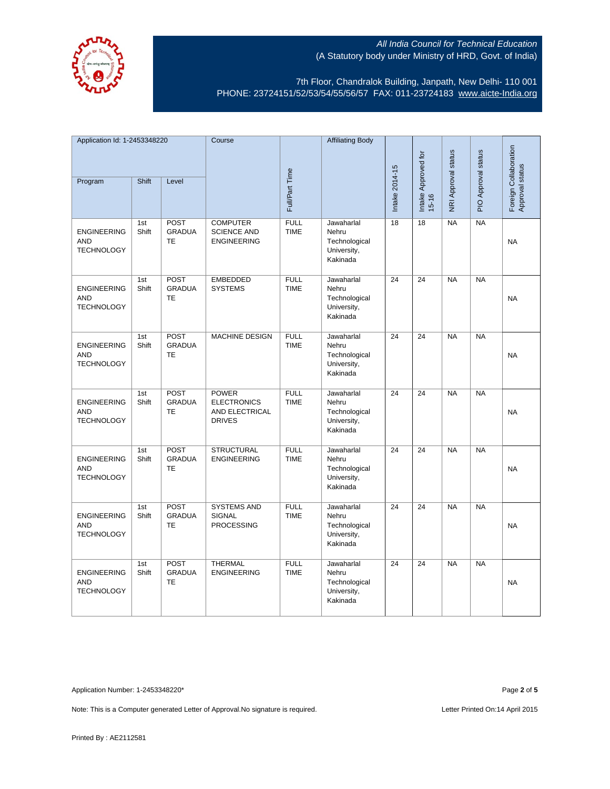

7th Floor, Chandralok Building, Janpath, New Delhi- 110 001 PHONE: 23724151/52/53/54/55/56/57 FAX: 011-23724183 [www.aicte-India.org](http://www.aicte-india.org/)

| Application Id: 1-2453348220                          |              |                                           | Course                                                                |                            | <b>Affiliating Body</b>                                         |                 |                                  |                     |                     |                                          |
|-------------------------------------------------------|--------------|-------------------------------------------|-----------------------------------------------------------------------|----------------------------|-----------------------------------------------------------------|-----------------|----------------------------------|---------------------|---------------------|------------------------------------------|
| Program                                               | Shift        | Level                                     |                                                                       | Full/Part Time             |                                                                 | Intake 2014-15  | Intake Approved for<br>$15 - 16$ | NRI Approval status | PIO Approval status | Foreign Collaboration<br>Approval status |
| <b>ENGINEERING</b><br><b>AND</b><br><b>TECHNOLOGY</b> | 1st<br>Shift | <b>POST</b><br><b>GRADUA</b><br>TE        | <b>COMPUTER</b><br><b>SCIENCE AND</b><br><b>ENGINEERING</b>           | <b>FULL</b><br><b>TIME</b> | Jawaharlal<br>Nehru<br>Technological<br>University,<br>Kakinada | 18              | 18                               | <b>NA</b>           | NA                  | <b>NA</b>                                |
| <b>ENGINEERING</b><br><b>AND</b><br><b>TECHNOLOGY</b> | 1st<br>Shift | <b>POST</b><br><b>GRADUA</b><br>TE        | <b>EMBEDDED</b><br><b>SYSTEMS</b>                                     | <b>FULL</b><br><b>TIME</b> | Jawaharlal<br>Nehru<br>Technological<br>University,<br>Kakinada | 24              | 24                               | <b>NA</b>           | <b>NA</b>           | <b>NA</b>                                |
| <b>ENGINEERING</b><br><b>AND</b><br><b>TECHNOLOGY</b> | 1st<br>Shift | <b>POST</b><br><b>GRADUA</b><br><b>TE</b> | <b>MACHINE DESIGN</b>                                                 | <b>FULL</b><br><b>TIME</b> | Jawaharlal<br>Nehru<br>Technological<br>University,<br>Kakinada | 24              | 24                               | <b>NA</b>           | <b>NA</b>           | <b>NA</b>                                |
| <b>ENGINEERING</b><br><b>AND</b><br><b>TECHNOLOGY</b> | 1st<br>Shift | <b>POST</b><br><b>GRADUA</b><br><b>TE</b> | <b>POWER</b><br><b>ELECTRONICS</b><br>AND ELECTRICAL<br><b>DRIVES</b> | <b>FULL</b><br><b>TIME</b> | Jawaharlal<br>Nehru<br>Technological<br>University,<br>Kakinada | $\overline{24}$ | $\overline{24}$                  | NA                  | NA                  | <b>NA</b>                                |
| <b>ENGINEERING</b><br><b>AND</b><br><b>TECHNOLOGY</b> | 1st<br>Shift | POST<br><b>GRADUA</b><br><b>TE</b>        | <b>STRUCTURAL</b><br><b>ENGINEERING</b>                               | <b>FULL</b><br><b>TIME</b> | Jawaharlal<br>Nehru<br>Technological<br>University,<br>Kakinada | $\overline{24}$ | $\overline{24}$                  | NA                  | NA                  | <b>NA</b>                                |
| <b>ENGINEERING</b><br><b>AND</b><br><b>TECHNOLOGY</b> | 1st<br>Shift | POST<br><b>GRADUA</b><br>TE               | <b>SYSTEMS AND</b><br>SIGNAL<br><b>PROCESSING</b>                     | <b>FULL</b><br><b>TIME</b> | Jawaharlal<br>Nehru<br>Technological<br>University,<br>Kakinada | $\overline{24}$ | $\overline{24}$                  | NA                  | NA                  | <b>NA</b>                                |
| <b>ENGINEERING</b><br><b>AND</b><br><b>TECHNOLOGY</b> | 1st<br>Shift | POST<br><b>GRADUA</b><br>TE               | <b>THERMAL</b><br><b>ENGINEERING</b>                                  | <b>FULL</b><br><b>TIME</b> | Jawaharlal<br>Nehru<br>Technological<br>University,<br>Kakinada | $\overline{24}$ | 24                               | <b>NA</b>           | <b>NA</b>           | <b>NA</b>                                |

Application Number: 1-2453348220\* Page **2** of **5**

Note: This is a Computer generated Letter of Approval. No signature is required. Letter Printed On:14 April 2015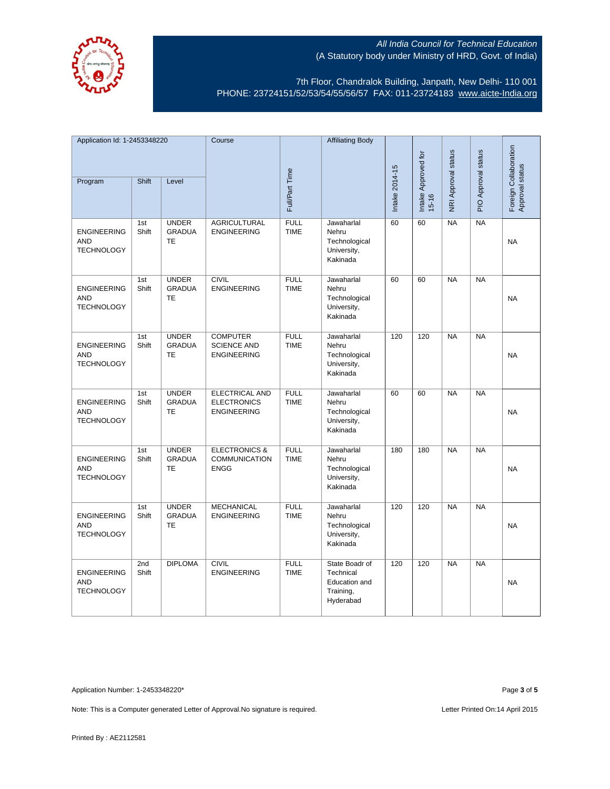

7th Floor, Chandralok Building, Janpath, New Delhi- 110 001 PHONE: 23724151/52/53/54/55/56/57 FAX: 011-23724183 [www.aicte-India.org](http://www.aicte-india.org/)

| Application Id: 1-2453348220                          |              |                                            | Course                                                            |                            | <b>Affiliating Body</b>                                                |                |                              |                     |                     |                                          |
|-------------------------------------------------------|--------------|--------------------------------------------|-------------------------------------------------------------------|----------------------------|------------------------------------------------------------------------|----------------|------------------------------|---------------------|---------------------|------------------------------------------|
| Program                                               | Shift        | Level                                      |                                                                   | Full/Part Time             |                                                                        | Intake 2014-15 | Intake Approved for<br>15-16 | NRI Approval status | PIO Approval status | Foreign Collaboration<br>Approval status |
| <b>ENGINEERING</b><br><b>AND</b><br><b>TECHNOLOGY</b> | 1st<br>Shift | <b>UNDER</b><br><b>GRADUA</b><br><b>TE</b> | <b>AGRICULTURAL</b><br><b>ENGINEERING</b>                         | <b>FULL</b><br><b>TIME</b> | Jawaharlal<br>Nehru<br>Technological<br>University,<br>Kakinada        | 60             | 60                           | NA                  | NA                  | <b>NA</b>                                |
| <b>ENGINEERING</b><br><b>AND</b><br><b>TECHNOLOGY</b> | 1st<br>Shift | <b>UNDER</b><br><b>GRADUA</b><br><b>TE</b> | <b>CIVIL</b><br><b>ENGINEERING</b>                                | <b>FULL</b><br><b>TIME</b> | Jawaharlal<br>Nehru<br>Technological<br>University,<br>Kakinada        | 60             | 60                           | <b>NA</b>           | NA                  | <b>NA</b>                                |
| <b>ENGINEERING</b><br><b>AND</b><br><b>TECHNOLOGY</b> | 1st<br>Shift | <b>UNDER</b><br><b>GRADUA</b><br><b>TE</b> | <b>COMPUTER</b><br><b>SCIENCE AND</b><br><b>ENGINEERING</b>       | <b>FULL</b><br><b>TIME</b> | Jawaharlal<br>Nehru<br>Technological<br>University,<br>Kakinada        | 120            | 120                          | <b>NA</b>           | NA                  | <b>NA</b>                                |
| <b>ENGINEERING</b><br><b>AND</b><br><b>TECHNOLOGY</b> | 1st<br>Shift | <b>UNDER</b><br><b>GRADUA</b><br>TE        | <b>ELECTRICAL AND</b><br><b>ELECTRONICS</b><br><b>ENGINEERING</b> | <b>FULL</b><br><b>TIME</b> | Jawaharlal<br>Nehru<br>Technological<br>University,<br>Kakinada        | 60             | 60                           | NA                  | NA                  | <b>NA</b>                                |
| <b>ENGINEERING</b><br><b>AND</b><br><b>TECHNOLOGY</b> | 1st<br>Shift | <b>UNDER</b><br><b>GRADUA</b><br>TE        | <b>ELECTRONICS &amp;</b><br><b>COMMUNICATION</b><br><b>ENGG</b>   | <b>FULL</b><br><b>TIME</b> | Jawaharlal<br>Nehru<br>Technological<br>University,<br>Kakinada        | 180            | 180                          | <b>NA</b>           | <b>NA</b>           | <b>NA</b>                                |
| <b>ENGINEERING</b><br><b>AND</b><br><b>TECHNOLOGY</b> | 1st<br>Shift | <b>UNDER</b><br><b>GRADUA</b><br><b>TE</b> | <b>MECHANICAL</b><br><b>ENGINEERING</b>                           | <b>FULL</b><br><b>TIME</b> | Jawaharlal<br>Nehru<br>Technological<br>University,<br>Kakinada        | 120            | 120                          | NA                  | NA                  | <b>NA</b>                                |
| <b>ENGINEERING</b><br><b>AND</b><br><b>TECHNOLOGY</b> | 2nd<br>Shift | <b>DIPLOMA</b>                             | <b>CIVIL</b><br><b>ENGINEERING</b>                                | <b>FULL</b><br><b>TIME</b> | State Boadr of<br>Technical<br>Education and<br>Training,<br>Hyderabad | 120            | 120                          | <b>NA</b>           | <b>NA</b>           | <b>NA</b>                                |

Application Number: 1-2453348220\* Page **3** of **5**

Note: This is a Computer generated Letter of Approval. No signature is required. Letter Printed On:14 April 2015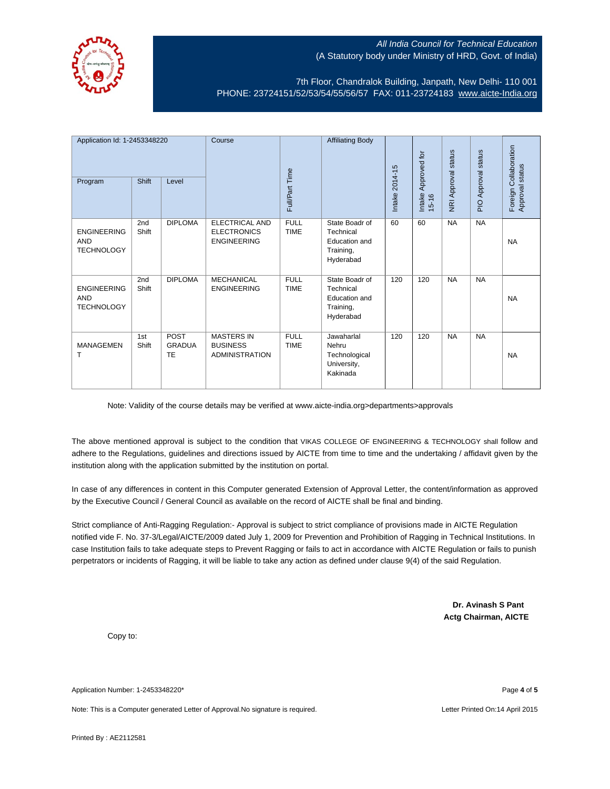

7th Floor, Chandralok Building, Janpath, New Delhi- 110 001 PHONE: 23724151/52/53/54/55/56/57 FAX: 011-23724183 [www.aicte-India.org](http://www.aicte-india.org/)

| Application Id: 1-2453348220<br>Program               | <b>Shift</b> | Level                              | Course                                                        | Full/Part Time             | <b>Affiliating Body</b>                                                       | Intake 2014-15 | Approved for<br>Intake<br>$15 - 16$ | <b>NRI Approval status</b> | PIO Approval status | Foreign Collaboration<br>Approval status |
|-------------------------------------------------------|--------------|------------------------------------|---------------------------------------------------------------|----------------------------|-------------------------------------------------------------------------------|----------------|-------------------------------------|----------------------------|---------------------|------------------------------------------|
| <b>ENGINEERING</b><br><b>AND</b><br><b>TECHNOLOGY</b> | 2nd<br>Shift | <b>DIPLOMA</b>                     | ELECTRICAL AND<br><b>ELECTRONICS</b><br><b>ENGINEERING</b>    | <b>FULL</b><br><b>TIME</b> | State Boadr of<br>Technical<br>Education and<br>Training,<br>Hyderabad        | 60             | 60                                  | <b>NA</b>                  | <b>NA</b>           | <b>NA</b>                                |
| <b>ENGINEERING</b><br><b>AND</b><br><b>TECHNOLOGY</b> | 2nd<br>Shift | <b>DIPLOMA</b>                     | <b>MECHANICAL</b><br><b>ENGINEERING</b>                       | <b>FULL</b><br><b>TIME</b> | State Boadr of<br>Technical<br><b>Education</b> and<br>Training,<br>Hyderabad | 120            | 120                                 | <b>NA</b>                  | <b>NA</b>           | <b>NA</b>                                |
| <b>MANAGEMEN</b><br>т                                 | 1st<br>Shift | <b>POST</b><br><b>GRADUA</b><br>TE | <b>MASTERS IN</b><br><b>BUSINESS</b><br><b>ADMINISTRATION</b> | <b>FULL</b><br><b>TIME</b> | Jawaharlal<br>Nehru<br>Technological<br>University,<br>Kakinada               | 120            | 120                                 | <b>NA</b>                  | <b>NA</b>           | <b>NA</b>                                |

Note: Validity of the course details may be verified at www.aicte-india.org>departments>approvals

The above mentioned approval is subject to the condition that VIKAS COLLEGE OF ENGINEERING & TECHNOLOGY shall follow and adhere to the Regulations, guidelines and directions issued by AICTE from time to time and the undertaking / affidavit given by the institution along with the application submitted by the institution on portal.

In case of any differences in content in this Computer generated Extension of Approval Letter, the content/information as approved by the Executive Council / General Council as available on the record of AICTE shall be final and binding.

Strict compliance of Anti-Ragging Regulation:- Approval is subject to strict compliance of provisions made in AICTE Regulation notified vide F. No. 37-3/Legal/AICTE/2009 dated July 1, 2009 for Prevention and Prohibition of Ragging in Technical Institutions. In case Institution fails to take adequate steps to Prevent Ragging or fails to act in accordance with AICTE Regulation or fails to punish perpetrators or incidents of Ragging, it will be liable to take any action as defined under clause 9(4) of the said Regulation.

> **Dr. Avinash S Pant Actg Chairman, AICTE**

Copy to:

Application Number: 1-2453348220\* Page **4** of **5**

Note: This is a Computer generated Letter of Approval.No signature is required. Letter According the state of the United On:14 April 2015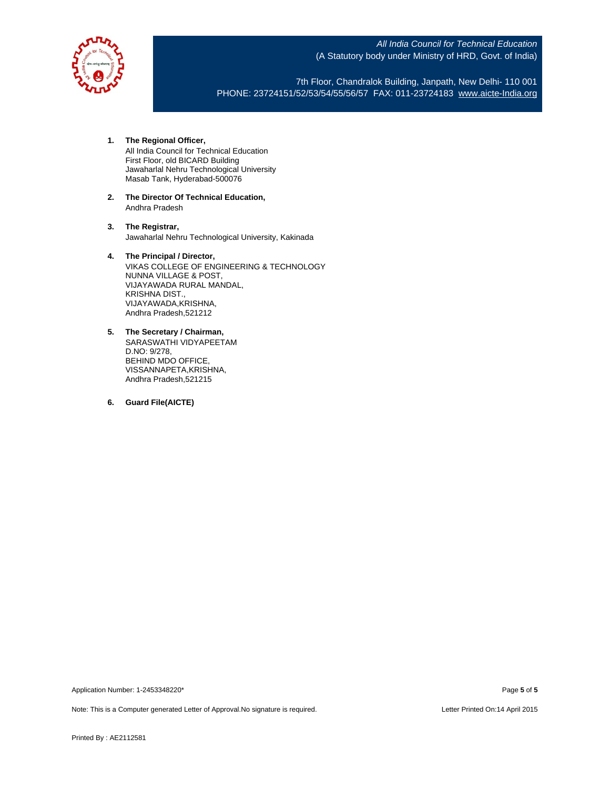

7th Floor, Chandralok Building, Janpath, New Delhi- 110 001 PHONE: 23724151/52/53/54/55/56/57 FAX: 011-23724183 [www.aicte-India.org](http://www.aicte-india.org/)

**1. The Regional Officer,**

All India Council for Technical Education First Floor, old BICARD Building Jawaharlal Nehru Technological University Masab Tank, Hyderabad-500076

**2. The Director Of Technical Education,** Andhra Pradesh

**3. The Registrar,** Jawaharlal Nehru Technological University, Kakinada

#### **4. The Principal / Director,**

VIKAS COLLEGE OF ENGINEERING & TECHNOLOGY NUNNA VILLAGE & POST, VIJAYAWADA RURAL MANDAL, KRISHNA DIST., VIJAYAWADA,KRISHNA, Andhra Pradesh,521212

- **5. The Secretary / Chairman,** SARASWATHI VIDYAPEETAM D.NO: 9/278, BEHIND MDO OFFICE, VISSANNAPETA,KRISHNA, Andhra Pradesh,521215
- **6. Guard File(AICTE)**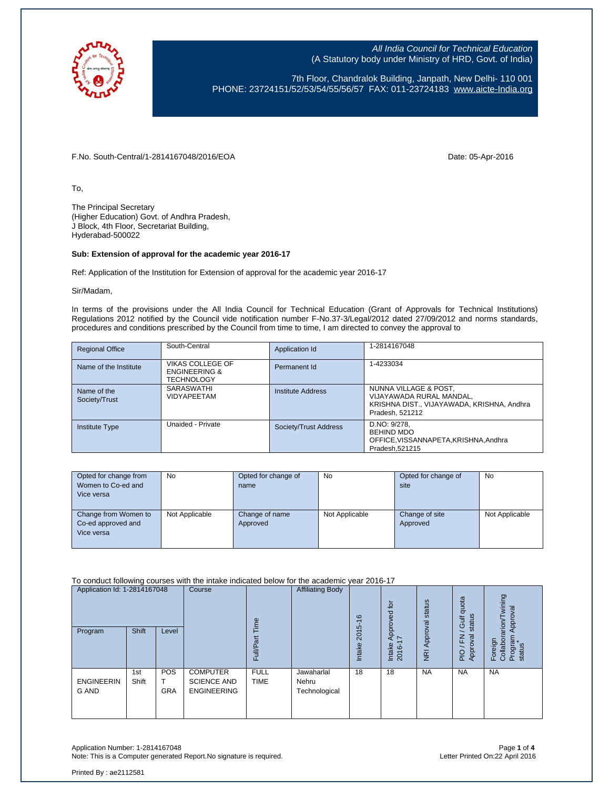

7th Floor, Chandralok Building, Janpath, New Delhi- 110 001 PHONE: 23724151/52/53/54/55/56/57 FAX: 011-23724183 [www.aicte-India.org](http://www.aicte-india.org/)

F.No. South-Central/1-2814167048/2016/EOA Date: 05-Apr-2016

To,

The Principal Secretary (Higher Education) Govt. of Andhra Pradesh, J Block, 4th Floor, Secretariat Building, Hyderabad-500022

#### **Sub: Extension of approval for the academic year 2016-17**

Ref: Application of the Institution for Extension of approval for the academic year 2016-17

Sir/Madam,

In terms of the provisions under the All India Council for Technical Education (Grant of Approvals for Technical Institutions) Regulations 2012 notified by the Council vide notification number F-No.37-3/Legal/2012 dated 27/09/2012 and norms standards, procedures and conditions prescribed by the Council from time to time, I am directed to convey the approval to

| <b>Regional Office</b>       | South-Central                                                     | Application Id        | 1-2814167048                                                                                                       |
|------------------------------|-------------------------------------------------------------------|-----------------------|--------------------------------------------------------------------------------------------------------------------|
| Name of the Institute        | VIKAS COLLEGE OF<br><b>ENGINEERING &amp;</b><br><b>TECHNOLOGY</b> | Permanent Id          | 1-4233034                                                                                                          |
| Name of the<br>Society/Trust | <b>SARASWATHI</b><br><b>VIDYAPEETAM</b>                           | Institute Address     | NUNNA VILLAGE & POST,<br>VIJAYAWADA RURAL MANDAL,<br>KRISHNA DIST., VIJAYAWADA, KRISHNA, Andhra<br>Pradesh, 521212 |
| <b>Institute Type</b>        | Unaided - Private                                                 | Society/Trust Address | D.NO: 9/278.<br><b>BEHIND MDO</b><br>OFFICE, VISSANNAPETA, KRISHNA, Andhra<br>Pradesh, 521215                      |

| Opted for change from | <b>No</b>      | Opted for change of | No             | Opted for change of | No             |
|-----------------------|----------------|---------------------|----------------|---------------------|----------------|
| Women to Co-ed and    |                | name                |                | site                |                |
| Vice versa            |                |                     |                |                     |                |
|                       |                |                     |                |                     |                |
| Change from Women to  | Not Applicable | Change of name      | Not Applicable | Change of site      | Not Applicable |
| Co-ed approved and    |                | Approved            |                | Approved            |                |
| Vice versa            |                |                     |                |                     |                |
|                       |                |                     |                |                     |                |

To conduct following courses with the intake indicated below for the academic year 2016-17

| Application Id: 1-2814167048<br>Program | Shift        | Level                    | Course                                                      | Φ<br>Ĕ.<br>ಹ<br>Full       | <b>Affiliating Body</b>              | $\frac{6}{5}$<br>2015<br>Intake | $\overline{p}$<br>Approved<br>$\overline{1}$<br>Intake<br>2016- | status<br>Approval<br>$\overline{g}$ | quota<br>status<br><b>Gulf</b><br>준<br>ॡ<br>Appro<br>$\frac{1}{2}$ | wining<br>Approval<br>arion/<br>Program<br>status<br>Foreign<br>Collabor |
|-----------------------------------------|--------------|--------------------------|-------------------------------------------------------------|----------------------------|--------------------------------------|---------------------------------|-----------------------------------------------------------------|--------------------------------------|--------------------------------------------------------------------|--------------------------------------------------------------------------|
| <b>ENGINEERIN</b><br><b>G AND</b>       | 1st<br>Shift | <b>POS</b><br><b>GRA</b> | <b>COMPUTER</b><br><b>SCIENCE AND</b><br><b>ENGINEERING</b> | <b>FULL</b><br><b>TIME</b> | Jawaharlal<br>Nehru<br>Technological | 18                              | 18                                                              | <b>NA</b>                            | <b>NA</b>                                                          | <b>NA</b>                                                                |

Application Number: 1-2814167048<br>Note: This is a Computer generated Report.No signature is required.<br>Photo: This is a Computer generated Report.No signature is required. Note: This is a Computer generated Report. No signature is required.

Printed By : ae2112581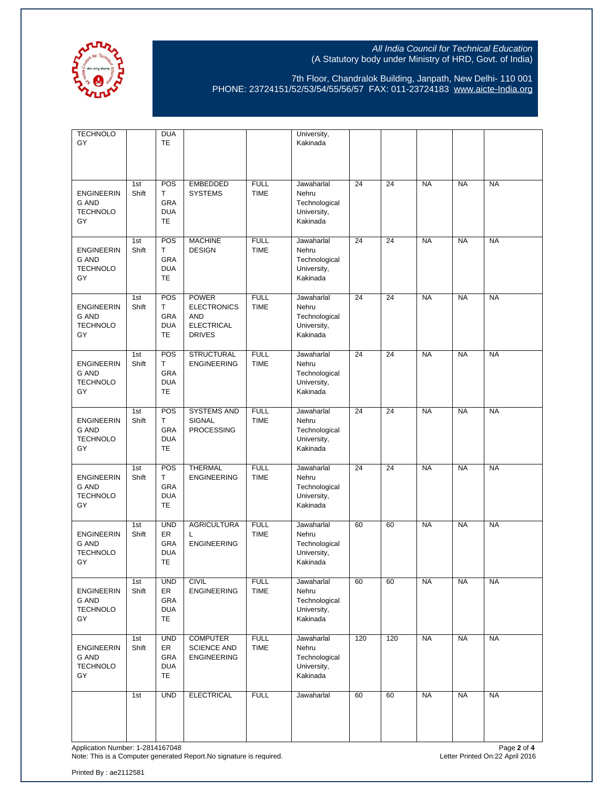

7th Floor, Chandralok Building, Janpath, New Delhi- 110 001 PHONE: 23724151/52/53/54/55/56/57 FAX: 011-23724183 [www.aicte-India.org](http://www.aicte-india.org/)

| <b>TECHNOLO</b><br>GY                                      |              | <b>DUA</b><br><b>TE</b>                     |                                                                                        |                            | University,<br>Kakinada                                         |     |     |           |           |           |
|------------------------------------------------------------|--------------|---------------------------------------------|----------------------------------------------------------------------------------------|----------------------------|-----------------------------------------------------------------|-----|-----|-----------|-----------|-----------|
| <b>ENGINEERIN</b><br><b>G AND</b><br><b>TECHNOLO</b><br>GY | 1st<br>Shift | POS<br>T.<br>GRA<br><b>DUA</b><br>TE        | <b>EMBEDDED</b><br><b>SYSTEMS</b>                                                      | <b>FULL</b><br><b>TIME</b> | Jawaharlal<br>Nehru<br>Technological<br>University,<br>Kakinada | 24  | 24  | <b>NA</b> | <b>NA</b> | <b>NA</b> |
| <b>ENGINEERIN</b><br>G AND<br><b>TECHNOLO</b><br>GY        | 1st<br>Shift | POS<br>T.<br>GRA<br><b>DUA</b><br>TE        | <b>MACHINE</b><br><b>DESIGN</b>                                                        | <b>FULL</b><br><b>TIME</b> | Jawaharlal<br>Nehru<br>Technological<br>University,<br>Kakinada | 24  | 24  | <b>NA</b> | <b>NA</b> | <b>NA</b> |
| <b>ENGINEERIN</b><br>G AND<br><b>TECHNOLO</b><br>GY        | 1st<br>Shift | POS<br>T.<br><b>GRA</b><br><b>DUA</b><br>TE | <b>POWER</b><br><b>ELECTRONICS</b><br><b>AND</b><br><b>ELECTRICAL</b><br><b>DRIVES</b> | <b>FULL</b><br><b>TIME</b> | Jawaharlal<br>Nehru<br>Technological<br>University,<br>Kakinada | 24  | 24  | <b>NA</b> | <b>NA</b> | <b>NA</b> |
| <b>ENGINEERIN</b><br>G AND<br><b>TECHNOLO</b><br>GY        | 1st<br>Shift | POS<br>T<br>GRA<br><b>DUA</b><br>TE         | <b>STRUCTURAL</b><br><b>ENGINEERING</b>                                                | <b>FULL</b><br><b>TIME</b> | Jawaharlal<br>Nehru<br>Technological<br>University,<br>Kakinada | 24  | 24  | <b>NA</b> | <b>NA</b> | <b>NA</b> |
| <b>ENGINEERIN</b><br>G AND<br><b>TECHNOLO</b><br>GY        | 1st<br>Shift | POS<br>T.<br><b>GRA</b><br><b>DUA</b><br>TE | <b>SYSTEMS AND</b><br>SIGNAL<br><b>PROCESSING</b>                                      | <b>FULL</b><br><b>TIME</b> | Jawaharlal<br>Nehru<br>Technological<br>University,<br>Kakinada | 24  | 24  | <b>NA</b> | <b>NA</b> | <b>NA</b> |
| <b>ENGINEERIN</b><br>G AND<br><b>TECHNOLO</b><br>GY        | 1st<br>Shift | POS<br>T<br>GRA<br><b>DUA</b><br>TE         | <b>THERMAL</b><br><b>ENGINEERING</b>                                                   | <b>FULL</b><br><b>TIME</b> | Jawaharlal<br>Nehru<br>Technological<br>University,<br>Kakinada | 24  | 24  | <b>NA</b> | <b>NA</b> | <b>NA</b> |
| <b>ENGINEERIN</b><br>G AND<br><b>TECHNOLO</b><br>GY        | 1st<br>Shift | <b>UND</b><br>ER<br>GRA<br><b>DUA</b><br>TE | <b>AGRICULTURA</b><br>L<br><b>ENGINEERING</b>                                          | <b>FULL</b><br><b>TIME</b> | Jawaharlal<br>Nehru<br>Technological<br>University,<br>Kakinada | 60  | 60  | <b>NA</b> | <b>NA</b> | <b>NA</b> |
| <b>ENGINEERIN</b><br><b>G AND</b><br><b>TECHNOLO</b><br>GY | 1st<br>Shift | <b>UND</b><br>ER<br>GRA<br><b>DUA</b><br>TE | <b>CIVIL</b><br><b>ENGINEERING</b>                                                     | <b>FULL</b><br><b>TIME</b> | Jawaharlal<br>Nehru<br>Technological<br>University,<br>Kakinada | 60  | 60  | <b>NA</b> | <b>NA</b> | <b>NA</b> |
| <b>ENGINEERIN</b><br>G AND<br><b>TECHNOLO</b><br>GY        | 1st<br>Shift | <b>UND</b><br>ER<br>GRA<br><b>DUA</b><br>TE | <b>COMPUTER</b><br><b>SCIENCE AND</b><br><b>ENGINEERING</b>                            | <b>FULL</b><br><b>TIME</b> | Jawaharlal<br>Nehru<br>Technological<br>University,<br>Kakinada | 120 | 120 | <b>NA</b> | <b>NA</b> | <b>NA</b> |
|                                                            | 1st          | <b>UND</b>                                  | <b>ELECTRICAL</b>                                                                      | <b>FULL</b>                | Jawaharlal                                                      | 60  | 60  | <b>NA</b> | <b>NA</b> | <b>NA</b> |

Application Number: 1-2814167048 Page **2** of **4** Note: This is a Computer generated Report.No signature is required. Letter Printed On:22 April 2016

Printed By : ae2112581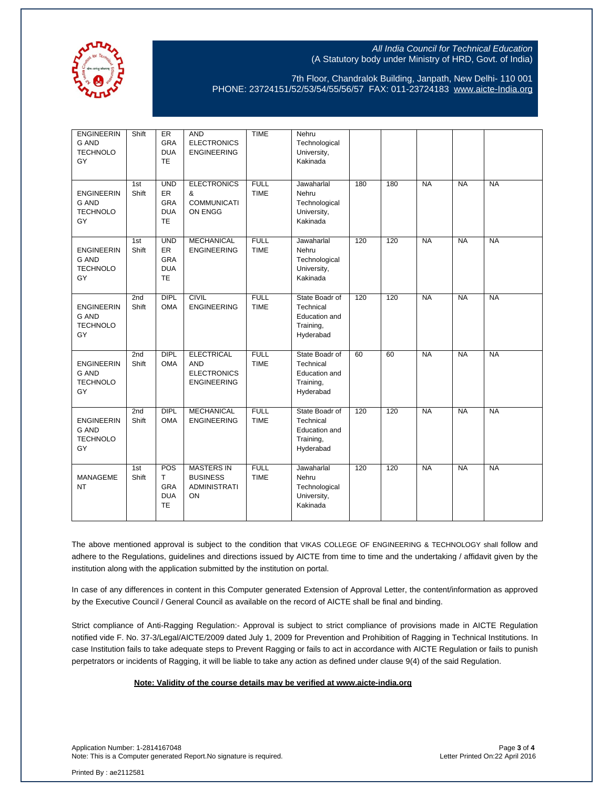

7th Floor, Chandralok Building, Janpath, New Delhi- 110 001 PHONE: 23724151/52/53/54/55/56/57 FAX: 011-23724183 [www.aicte-India.org](http://www.aicte-india.org/)

| <b>ENGINEERIN</b><br><b>G AND</b><br><b>TECHNOLO</b><br>GY | Shift        | ER<br>GRA<br><b>DUA</b><br><b>TE</b>                             | <b>AND</b><br><b>ELECTRONICS</b><br><b>ENGINEERING</b>                      | <b>TIME</b>                | Nehru<br>Technological<br>University,<br>Kakinada                      |     |     |           |           |           |
|------------------------------------------------------------|--------------|------------------------------------------------------------------|-----------------------------------------------------------------------------|----------------------------|------------------------------------------------------------------------|-----|-----|-----------|-----------|-----------|
| <b>ENGINEERIN</b><br><b>G AND</b><br><b>TECHNOLO</b><br>GY | 1st<br>Shift | <b>UND</b><br>ER<br>GRA<br><b>DUA</b><br><b>TE</b>               | <b>ELECTRONICS</b><br>&<br><b>COMMUNICATI</b><br>ON ENGG                    | <b>FULL</b><br><b>TIME</b> | Jawaharlal<br>Nehru<br>Technological<br>University,<br>Kakinada        | 180 | 180 | <b>NA</b> | <b>NA</b> | <b>NA</b> |
| <b>ENGINEERIN</b><br><b>G AND</b><br><b>TECHNOLO</b><br>GY | 1st<br>Shift | <b>UND</b><br><b>ER</b><br><b>GRA</b><br><b>DUA</b><br><b>TE</b> | <b>MECHANICAL</b><br><b>ENGINEERING</b>                                     | <b>FULL</b><br><b>TIME</b> | Jawaharlal<br>Nehru<br>Technological<br>University,<br>Kakinada        | 120 | 120 | <b>NA</b> | <b>NA</b> | <b>NA</b> |
| <b>ENGINEERIN</b><br><b>G AND</b><br><b>TECHNOLO</b><br>GY | 2nd<br>Shift | <b>DIPL</b><br><b>OMA</b>                                        | <b>CIVIL</b><br><b>ENGINEERING</b>                                          | <b>FULL</b><br><b>TIME</b> | State Boadr of<br>Technical<br>Education and<br>Training,<br>Hyderabad | 120 | 120 | <b>NA</b> | <b>NA</b> | <b>NA</b> |
| <b>ENGINEERIN</b><br><b>G AND</b><br><b>TECHNOLO</b><br>GY | 2nd<br>Shift | DIPL<br><b>OMA</b>                                               | <b>ELECTRICAL</b><br><b>AND</b><br><b>ELECTRONICS</b><br><b>ENGINEERING</b> | <b>FULL</b><br><b>TIME</b> | State Boadr of<br>Technical<br>Education and<br>Training,<br>Hyderabad | 60  | 60  | <b>NA</b> | <b>NA</b> | <b>NA</b> |
| <b>ENGINEERIN</b><br><b>G AND</b><br><b>TECHNOLO</b><br>GY | 2nd<br>Shift | <b>DIPL</b><br><b>OMA</b>                                        | <b>MECHANICAL</b><br><b>ENGINEERING</b>                                     | <b>FULL</b><br><b>TIME</b> | State Boadr of<br>Technical<br>Education and<br>Training,<br>Hyderabad | 120 | 120 | <b>NA</b> | <b>NA</b> | <b>NA</b> |
| <b>MANAGEME</b><br><b>NT</b>                               | 1st<br>Shift | POS<br>T<br>GRA<br><b>DUA</b><br><b>TE</b>                       | <b>MASTERS IN</b><br><b>BUSINESS</b><br><b>ADMINISTRATI</b><br>ON           | <b>FULL</b><br><b>TIME</b> | Jawaharlal<br>Nehru<br>Technological<br>University,<br>Kakinada        | 120 | 120 | <b>NA</b> | <b>NA</b> | <b>NA</b> |

The above mentioned approval is subject to the condition that VIKAS COLLEGE OF ENGINEERING & TECHNOLOGY shall follow and adhere to the Regulations, guidelines and directions issued by AICTE from time to time and the undertaking / affidavit given by the institution along with the application submitted by the institution on portal.

In case of any differences in content in this Computer generated Extension of Approval Letter, the content/information as approved by the Executive Council / General Council as available on the record of AICTE shall be final and binding.

Strict compliance of Anti-Ragging Regulation:- Approval is subject to strict compliance of provisions made in AICTE Regulation notified vide F. No. 37-3/Legal/AICTE/2009 dated July 1, 2009 for Prevention and Prohibition of Ragging in Technical Institutions. In case Institution fails to take adequate steps to Prevent Ragging or fails to act in accordance with AICTE Regulation or fails to punish perpetrators or incidents of Ragging, it will be liable to take any action as defined under clause 9(4) of the said Regulation.

#### **Note: Validity of the course details may be verified at www.aicte-india.org**

Application Number: 1-2814167048<br>Note: This is a Computer generated Report.No signature is required.<br>Physical particles are also asset and the test of the Letter Printed On:22 April 2016 Note: This is a Computer generated Report.No signature is required.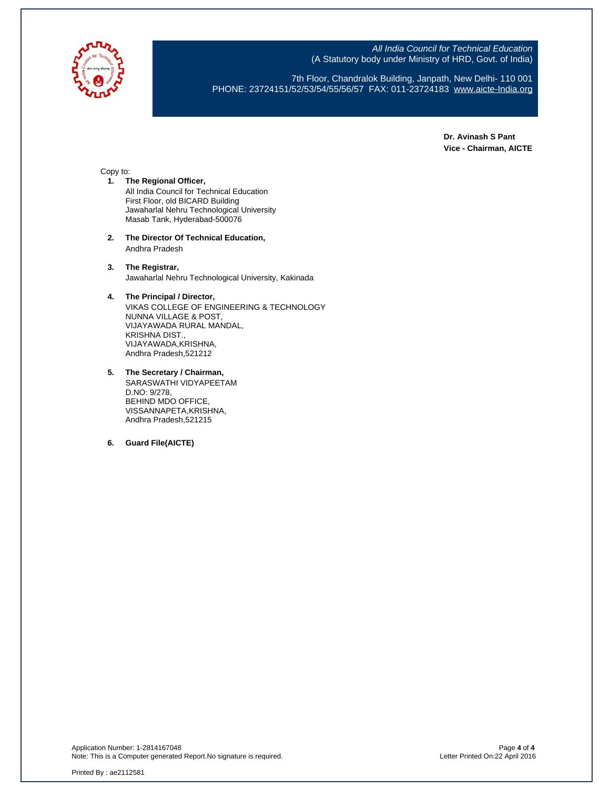

7th Floor, Chandralok Building, Janpath, New Delhi- 110 001 PHONE: 23724151/52/53/54/55/56/57 FAX: 011-23724183 [www.aicte-India.org](http://www.aicte-india.org/)

> **Dr. Avinash S Pant Vice - Chairman, AICTE**

#### Copy to:

- **1. The Regional Officer,** All India Council for Technical Education First Floor, old BICARD Building Jawaharlal Nehru Technological University Masab Tank, Hyderabad-500076
- **2. The Director Of Technical Education,** Andhra Pradesh
- **3. The Registrar,** Jawaharlal Nehru Technological University, Kakinada

#### **4. The Principal / Director,**

VIKAS COLLEGE OF ENGINEERING & TECHNOLOGY NUNNA VILLAGE & POST, VIJAYAWADA RURAL MANDAL, KRISHNA DIST., VIJAYAWADA,KRISHNA, Andhra Pradesh,521212

**5. The Secretary / Chairman,** SARASWATHI VIDYAPEETAM D.NO: 9/278, BEHIND MDO OFFICE, VISSANNAPETA,KRISHNA, Andhra Pradesh,521215

**6. Guard File(AICTE)**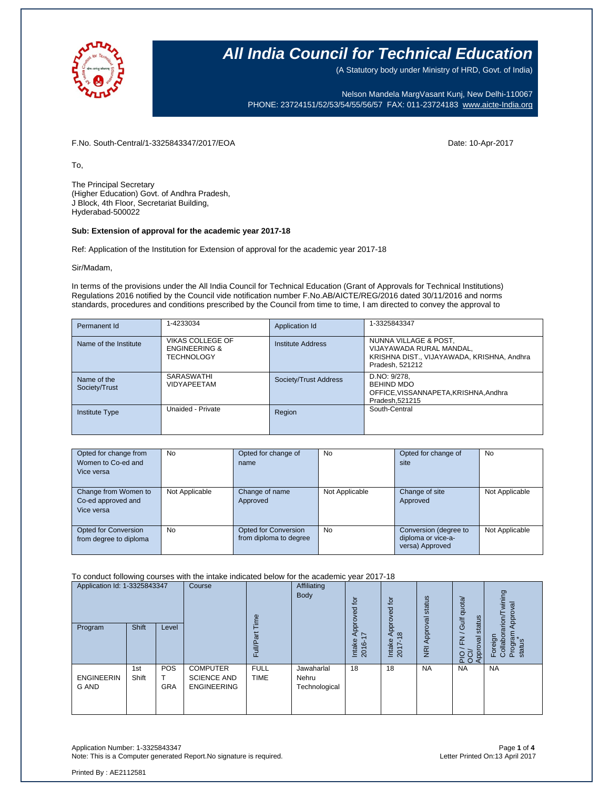

(A Statutory body under Ministry of HRD, Govt. of India)

Nelson Mandela MargVasant Kunj, New Delhi-110067 PHONE: 23724151/52/53/54/55/56/57 FAX: 011-23724183 [www.aicte-India.org](http://www.aicte-india.org/)

F.No. South-Central/1-3325843347/2017/EOA Date: 10-Apr-2017

To,

The Principal Secretary (Higher Education) Govt. of Andhra Pradesh, J Block, 4th Floor, Secretariat Building, Hyderabad-500022

#### **Sub: Extension of approval for the academic year 2017-18**

Ref: Application of the Institution for Extension of approval for the academic year 2017-18

Sir/Madam,

In terms of the provisions under the All India Council for Technical Education (Grant of Approvals for Technical Institutions) Regulations 2016 notified by the Council vide notification number F.No.AB/AICTE/REG/2016 dated 30/11/2016 and norms standards, procedures and conditions prescribed by the Council from time to time, I am directed to convey the approval to

| Permanent Id                 | 1-4233034                                                                | Application Id        | 1-3325843347                                                                                                       |
|------------------------------|--------------------------------------------------------------------------|-----------------------|--------------------------------------------------------------------------------------------------------------------|
| Name of the Institute        | <b>VIKAS COLLEGE OF</b><br><b>ENGINEERING &amp;</b><br><b>TECHNOLOGY</b> | Institute Address     | NUNNA VILLAGE & POST,<br>VIJAYAWADA RURAL MANDAL,<br>KRISHNA DIST., VIJAYAWADA, KRISHNA, Andhra<br>Pradesh, 521212 |
| Name of the<br>Society/Trust | SARASWATHI<br><b>VIDYAPEETAM</b>                                         | Society/Trust Address | D.NO: 9/278.<br><b>BEHIND MDO</b><br>OFFICE, VISSANNAPETA, KRISHNA, Andhra<br>Pradesh.521215                       |
| <b>Institute Type</b>        | Unaided - Private                                                        | Region                | South-Central                                                                                                      |

| Opted for change from<br>Women to Co-ed and<br>Vice versa | No             | Opted for change of<br>name                    | No             | Opted for change of<br>site                                    | No             |
|-----------------------------------------------------------|----------------|------------------------------------------------|----------------|----------------------------------------------------------------|----------------|
| Change from Women to<br>Co-ed approved and<br>Vice versa  | Not Applicable | Change of name<br>Approved                     | Not Applicable | Change of site<br>Approved                                     | Not Applicable |
| Opted for Conversion<br>from degree to diploma            | No             | Opted for Conversion<br>from diploma to degree | <b>No</b>      | Conversion (degree to<br>diploma or vice-a-<br>versa) Approved | Not Applicable |

To conduct following courses with the intake indicated below for the academic year 2017-18

| Application Id: 1-3325843347<br>Program | Shift        | Level                         | Course                                                      | $\omega$<br>Ĕ<br>ω<br>≣<br>ш | Affiliating<br><b>Body</b>           | Į<br>್ದಾ<br>2<br>jdó<br>$\overline{\phantom{0}}$<br>⋖<br>Intake<br>2016 | $\overline{c}$<br>pproved<br>$\infty$<br>⋖<br>Intake<br>2017-1 | Approval status<br>$\overline{z}$ | quota/<br>status<br><b>JI</b><br>$\geq$<br>levo<br>PIO<br>OOP | wining<br>Approval<br>arion<br>Program<br>Foreign<br>Collabor<br>status |
|-----------------------------------------|--------------|-------------------------------|-------------------------------------------------------------|------------------------------|--------------------------------------|-------------------------------------------------------------------------|----------------------------------------------------------------|-----------------------------------|---------------------------------------------------------------|-------------------------------------------------------------------------|
| <b>ENGINEERIN</b><br><b>G AND</b>       | 1st<br>Shift | <b>POS</b><br>т<br><b>GRA</b> | <b>COMPUTER</b><br><b>SCIENCE AND</b><br><b>ENGINEERING</b> | <b>FULL</b><br><b>TIME</b>   | Jawaharlal<br>Nehru<br>Technological | 18                                                                      | 18                                                             | <b>NA</b>                         | <b>NA</b>                                                     | <b>NA</b>                                                               |

Application Number: 1-3325843347 Page **1** of **4** Note: This is a Computer generated Report. No signature is required.

Printed By : AE2112581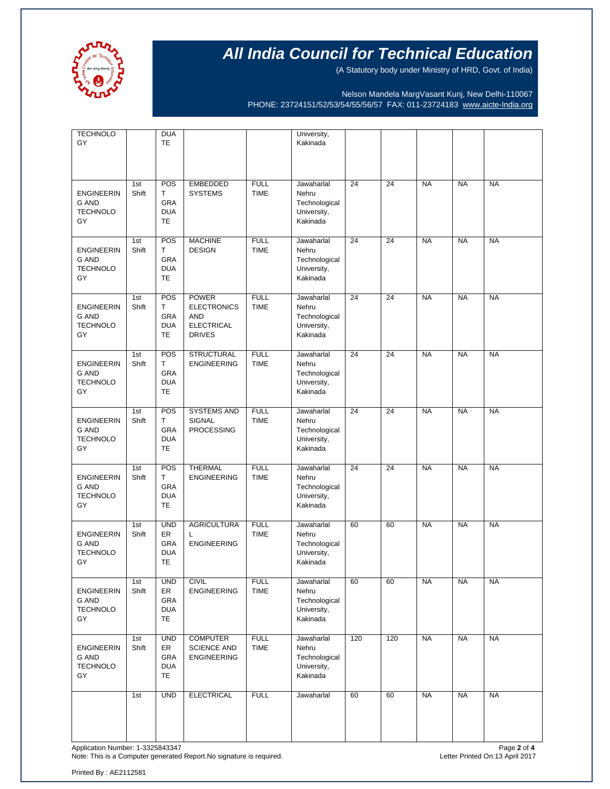

(A Statutory body under Ministry of HRD, Govt. of India)

Nelson Mandela MargVasant Kunj, New Delhi-110067 PHONE: 23724151/52/53/54/55/56/57 FAX: 011-23724183 [www.aicte-India.org](http://www.aicte-india.org/)

| <b>TECHNOLO</b><br>GY                                      |              | <b>DUA</b><br><b>TE</b>                            |                                                                                        |                            | University,<br>Kakinada                                         |     |     |           |           |           |
|------------------------------------------------------------|--------------|----------------------------------------------------|----------------------------------------------------------------------------------------|----------------------------|-----------------------------------------------------------------|-----|-----|-----------|-----------|-----------|
| <b>ENGINEERIN</b><br><b>G AND</b><br><b>TECHNOLO</b><br>GY | 1st<br>Shift | POS<br>T.<br>GRA<br><b>DUA</b><br><b>TE</b>        | <b>EMBEDDED</b><br><b>SYSTEMS</b>                                                      | <b>FULL</b><br><b>TIME</b> | Jawaharlal<br>Nehru<br>Technological<br>University,<br>Kakinada | 24  | 24  | <b>NA</b> | <b>NA</b> | <b>NA</b> |
| <b>ENGINEERIN</b><br><b>G AND</b><br><b>TECHNOLO</b><br>GY | 1st<br>Shift | POS<br>T.<br>GRA<br><b>DUA</b><br>TE               | <b>MACHINE</b><br><b>DESIGN</b>                                                        | <b>FULL</b><br><b>TIME</b> | Jawaharlal<br>Nehru<br>Technological<br>University,<br>Kakinada | 24  | 24  | <b>NA</b> | <b>NA</b> | <b>NA</b> |
| <b>ENGINEERIN</b><br>G AND<br><b>TECHNOLO</b><br>GY        | 1st<br>Shift | POS<br>T.<br>GRA<br><b>DUA</b><br>TE               | <b>POWER</b><br><b>ELECTRONICS</b><br><b>AND</b><br><b>ELECTRICAL</b><br><b>DRIVES</b> | <b>FULL</b><br><b>TIME</b> | Jawaharlal<br>Nehru<br>Technological<br>University,<br>Kakinada | 24  | 24  | <b>NA</b> | <b>NA</b> | <b>NA</b> |
| <b>ENGINEERIN</b><br>G AND<br><b>TECHNOLO</b><br>GY        | 1st<br>Shift | POS<br>T<br>GRA<br><b>DUA</b><br>TE                | <b>STRUCTURAL</b><br><b>ENGINEERING</b>                                                | <b>FULL</b><br><b>TIME</b> | Jawaharlal<br>Nehru<br>Technological<br>University,<br>Kakinada | 24  | 24  | <b>NA</b> | <b>NA</b> | <b>NA</b> |
| <b>ENGINEERIN</b><br>G AND<br><b>TECHNOLO</b><br>GY        | 1st<br>Shift | POS<br>T.<br>GRA<br><b>DUA</b><br>TE               | <b>SYSTEMS AND</b><br>SIGNAL<br><b>PROCESSING</b>                                      | <b>FULL</b><br><b>TIME</b> | Jawaharlal<br>Nehru<br>Technological<br>University,<br>Kakinada | 24  | 24  | <b>NA</b> | <b>NA</b> | <b>NA</b> |
| <b>ENGINEERIN</b><br>G AND<br><b>TECHNOLO</b><br>GY        | 1st<br>Shift | POS<br>Т<br>GRA<br><b>DUA</b><br>TE                | <b>THERMAL</b><br><b>ENGINEERING</b>                                                   | <b>FULL</b><br><b>TIME</b> | Jawaharlal<br>Nehru<br>Technological<br>University,<br>Kakinada | 24  | 24  | <b>NA</b> | <b>NA</b> | <b>NA</b> |
| <b>ENGINEERIN</b><br>G AND<br><b>TECHNOLO</b><br>GY        | 1st<br>Shift | <b>UND</b><br>ER<br>GRA<br><b>DUA</b><br>TE        | <b>AGRICULTURA</b><br>L<br><b>ENGINEERING</b>                                          | <b>FULL</b><br><b>TIME</b> | Jawaharlal<br>Nehru<br>Technological<br>University,<br>Kakinada | 60  | 60  | <b>NA</b> | <b>NA</b> | <b>NA</b> |
| <b>ENGINEERIN</b><br>G AND<br><b>TECHNOLO</b><br>GY        | 1st<br>Shift | <b>UND</b><br>ER<br>GRA<br><b>DUA</b><br>TE.       | <b>CIVIL</b><br><b>ENGINEERING</b>                                                     | <b>FULL</b><br><b>TIME</b> | Jawaharlal<br>Nehru<br>Technological<br>University,<br>Kakinada | 60  | 60  | <b>NA</b> | <b>NA</b> | <b>NA</b> |
| <b>ENGINEERIN</b><br>G AND<br><b>TECHNOLO</b><br>GY        | 1st<br>Shift | <b>UND</b><br>ER<br>GRA<br><b>DUA</b><br><b>TE</b> | <b>COMPUTER</b><br><b>SCIENCE AND</b><br><b>ENGINEERING</b>                            | <b>FULL</b><br><b>TIME</b> | Jawaharlal<br>Nehru<br>Technological<br>University,<br>Kakinada | 120 | 120 | <b>NA</b> | <b>NA</b> | <b>NA</b> |
|                                                            | 1st          | <b>UND</b>                                         | <b>ELECTRICAL</b>                                                                      | <b>FULL</b>                | Jawaharlal                                                      | 60  | 60  | <b>NA</b> | <b>NA</b> | <b>NA</b> |

Application Number: 1-3325843347<br>Note: This is a Computer generated Report.No signature is required.<br>Note: This is a Computer generated Report.No signature is required. Note: This is a Computer generated Report.No signature is required.

Printed By : AE2112581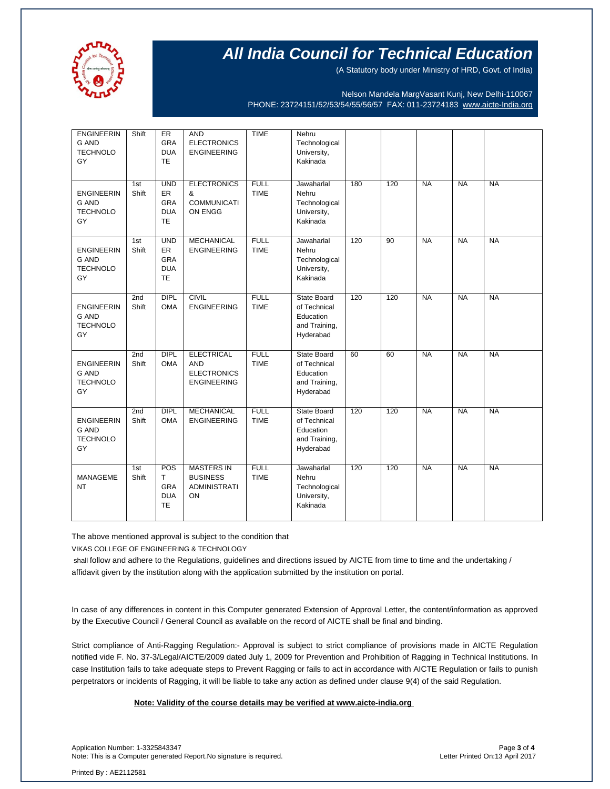

(A Statutory body under Ministry of HRD, Govt. of India)

Nelson Mandela MargVasant Kunj, New Delhi-110067 PHONE: 23724151/52/53/54/55/56/57 FAX: 011-23724183 [www.aicte-India.org](http://www.aicte-india.org/)

| <b>ENGINEERIN</b><br><b>G AND</b><br><b>TECHNOLO</b><br>GY | Shift                    | ER<br>GRA<br><b>DUA</b><br><b>TE</b>                      | <b>AND</b><br><b>ELECTRONICS</b><br><b>ENGINEERING</b>                      | <b>TIME</b>                | Nehru<br>Technological<br>University,<br>Kakinada                             |     |     |           |           |           |
|------------------------------------------------------------|--------------------------|-----------------------------------------------------------|-----------------------------------------------------------------------------|----------------------------|-------------------------------------------------------------------------------|-----|-----|-----------|-----------|-----------|
| <b>ENGINEERIN</b><br><b>G AND</b><br><b>TECHNOLO</b><br>GY | 1st<br>Shift             | <b>UND</b><br>ER<br><b>GRA</b><br><b>DUA</b><br><b>TE</b> | <b>ELECTRONICS</b><br>&<br><b>COMMUNICATI</b><br>ON ENGG                    | <b>FULL</b><br><b>TIME</b> | Jawaharlal<br>Nehru<br>Technological<br>University,<br>Kakinada               | 180 | 120 | <b>NA</b> | <b>NA</b> | <b>NA</b> |
| <b>ENGINEERIN</b><br><b>G AND</b><br><b>TECHNOLO</b><br>GY | 1st<br>Shift             | <b>UND</b><br>ER<br><b>GRA</b><br><b>DUA</b><br><b>TE</b> | <b>MECHANICAL</b><br><b>ENGINEERING</b>                                     | <b>FULL</b><br><b>TIME</b> | Jawaharlal<br>Nehru<br>Technological<br>University,<br>Kakinada               | 120 | 90  | <b>NA</b> | <b>NA</b> | <b>NA</b> |
| <b>ENGINEERIN</b><br><b>G AND</b><br><b>TECHNOLO</b><br>GY | 2 <sub>nd</sub><br>Shift | <b>DIPL</b><br><b>OMA</b>                                 | <b>CIVIL</b><br><b>ENGINEERING</b>                                          | <b>FULL</b><br><b>TIME</b> | State Board<br>of Technical<br>Education<br>and Training,<br>Hyderabad        | 120 | 120 | <b>NA</b> | <b>NA</b> | <b>NA</b> |
| <b>ENGINEERIN</b><br><b>G AND</b><br><b>TECHNOLO</b><br>GY | 2nd<br>Shift             | <b>DIPL</b><br><b>OMA</b>                                 | <b>ELECTRICAL</b><br><b>AND</b><br><b>ELECTRONICS</b><br><b>ENGINEERING</b> | <b>FULL</b><br><b>TIME</b> | <b>State Board</b><br>of Technical<br>Education<br>and Training,<br>Hyderabad | 60  | 60  | <b>NA</b> | <b>NA</b> | <b>NA</b> |
| <b>ENGINEERIN</b><br><b>G AND</b><br><b>TECHNOLO</b><br>GY | 2nd<br>Shift             | <b>DIPL</b><br><b>OMA</b>                                 | <b>MECHANICAL</b><br><b>ENGINEERING</b>                                     | <b>FULL</b><br><b>TIME</b> | <b>State Board</b><br>of Technical<br>Education<br>and Training,<br>Hyderabad | 120 | 120 | <b>NA</b> | <b>NA</b> | <b>NA</b> |
| <b>MANAGEME</b><br><b>NT</b>                               | 1st<br>Shift             | POS<br>T.<br><b>GRA</b><br><b>DUA</b><br><b>TE</b>        | <b>MASTERS IN</b><br><b>BUSINESS</b><br><b>ADMINISTRATI</b><br>ON           | <b>FULL</b><br><b>TIME</b> | Jawaharlal<br>Nehru<br>Technological<br>University,<br>Kakinada               | 120 | 120 | <b>NA</b> | <b>NA</b> | <b>NA</b> |

The above mentioned approval is subject to the condition that

VIKAS COLLEGE OF ENGINEERING & TECHNOLOGY

shall follow and adhere to the Regulations, guidelines and directions issued by AICTE from time to time and the undertaking / affidavit given by the institution along with the application submitted by the institution on portal.

In case of any differences in content in this Computer generated Extension of Approval Letter, the content/information as approved by the Executive Council / General Council as available on the record of AICTE shall be final and binding.

Strict compliance of Anti-Ragging Regulation:- Approval is subject to strict compliance of provisions made in AICTE Regulation notified vide F. No. 37-3/Legal/AICTE/2009 dated July 1, 2009 for Prevention and Prohibition of Ragging in Technical Institutions. In case Institution fails to take adequate steps to Prevent Ragging or fails to act in accordance with AICTE Regulation or fails to punish perpetrators or incidents of Ragging, it will be liable to take any action as defined under clause 9(4) of the said Regulation.

#### **Note: Validity of the course details may be verified at www.aicte-india.org**

Application Number: 1-3325843347 Page **3** of **4** Note: This is a Computer generated Report.No signature is required.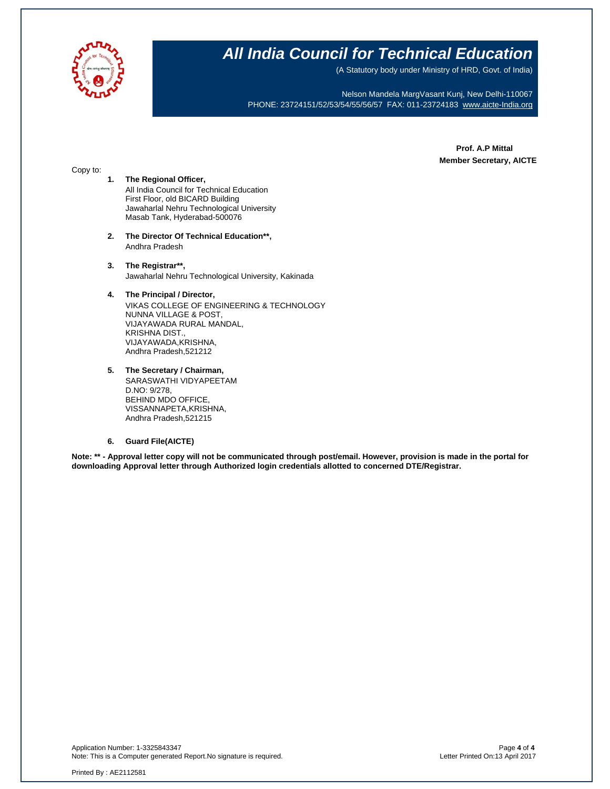

(A Statutory body under Ministry of HRD, Govt. of India)

Nelson Mandela MargVasant Kunj, New Delhi-110067 PHONE: 23724151/52/53/54/55/56/57 FAX: 011-23724183 [www.aicte-India.org](http://www.aicte-india.org/)

> **Prof. A.P Mittal Member Secretary, AICTE**

#### Copy to:

- **1. The Regional Officer,** All India Council for Technical Education First Floor, old BICARD Building Jawaharlal Nehru Technological University Masab Tank, Hyderabad-500076
- **2. The Director Of Technical Education\*\*,** Andhra Pradesh
- **3. The Registrar\*\*,** Jawaharlal Nehru Technological University, Kakinada

#### **4. The Principal / Director,**

VIKAS COLLEGE OF ENGINEERING & TECHNOLOGY NUNNA VILLAGE & POST, VIJAYAWADA RURAL MANDAL, KRISHNA DIST., VIJAYAWADA,KRISHNA, Andhra Pradesh,521212

**5. The Secretary / Chairman,** SARASWATHI VIDYAPEETAM D.NO: 9/278, BEHIND MDO OFFICE, VISSANNAPETA,KRISHNA, Andhra Pradesh,521215

#### **6. Guard File(AICTE)**

**Note: \*\* - Approval letter copy will not be communicated through post/email. However, provision is made in the portal for downloading Approval letter through Authorized login credentials allotted to concerned DTE/Registrar.**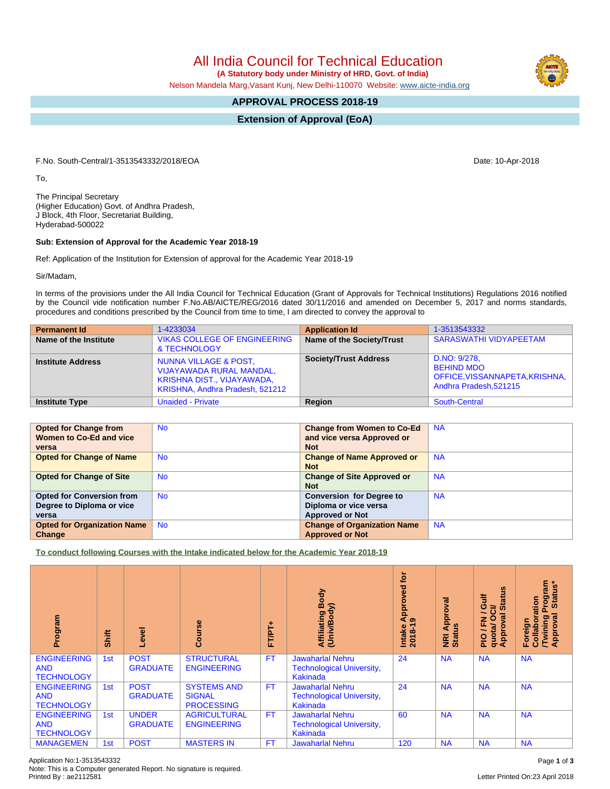Application No:1-3513543332 Page **1** of **3** Note: This is a Computer generated Report. No signature is required.

## All India Council for Technical Education

 **(A Statutory body under Ministry of HRD, Govt. of India)**

Nelson Mandela Marg,Vasant Kunj, New Delhi-110070 Website: [www.aicte-india.org](http://www.aicte-india.org)

## **APPROVAL PROCESS 2018-19**

**Extension of Approval (EoA)**

F.No. South-Central/1-3513543332/2018/EOA Date: 10-Apr-2018

To,

The Principal Secretary (Higher Education) Govt. of Andhra Pradesh, J Block, 4th Floor, Secretariat Building, Hyderabad-500022

#### **Sub: Extension of Approval for the Academic Year 2018-19**

Ref: Application of the Institution for Extension of approval for the Academic Year 2018-19

Sir/Madam,

In terms of the provisions under the All India Council for Technical Education (Grant of Approvals for Technical Institutions) Regulations 2016 notified by the Council vide notification number F.No.AB/AICTE/REG/2016 dated 30/11/2016 and amended on December 5, 2017 and norms standards, procedures and conditions prescribed by the Council from time to time, I am directed to convey the approval to

| <b>Permanent Id</b>      | 1-4233034                                                                                                                            | <b>Application Id</b>        | 1-3513543332                                                                                  |
|--------------------------|--------------------------------------------------------------------------------------------------------------------------------------|------------------------------|-----------------------------------------------------------------------------------------------|
| Name of the Institute    | <b>VIKAS COLLEGE OF ENGINEERING</b><br>& TECHNOLOGY                                                                                  | Name of the Society/Trust    | <b>SARASWATHI VIDYAPEETAM</b>                                                                 |
| <b>Institute Address</b> | <b>NUNNA VILLAGE &amp; POST,</b><br><b>VIJAYAWADA RURAL MANDAL,</b><br>KRISHNA DIST., VIJAYAWADA,<br>KRISHNA, Andhra Pradesh, 521212 | <b>Society/Trust Address</b> | D.NO: 9/278.<br><b>BEHIND MDO</b><br>OFFICE, VISSANNAPETA, KRISHNA,<br>Andhra Pradesh, 521215 |
| <b>Institute Type</b>    | <b>Unaided - Private</b>                                                                                                             | Region                       | South-Central                                                                                 |

| <b>Opted for Change from</b>       | <b>No</b> | <b>Change from Women to Co-Ed</b>  | <b>NA</b> |
|------------------------------------|-----------|------------------------------------|-----------|
| Women to Co-Ed and vice            |           | and vice versa Approved or         |           |
| versa                              |           | <b>Not</b>                         |           |
| <b>Opted for Change of Name</b>    | <b>No</b> | <b>Change of Name Approved or</b>  | <b>NA</b> |
|                                    |           | <b>Not</b>                         |           |
| <b>Opted for Change of Site</b>    | <b>No</b> | <b>Change of Site Approved or</b>  | <b>NA</b> |
|                                    |           | <b>Not</b>                         |           |
| <b>Opted for Conversion from</b>   | <b>No</b> | <b>Conversion for Degree to</b>    | <b>NA</b> |
| Degree to Diploma or vice          |           | Diploma or vice versa              |           |
| versa                              |           | <b>Approved or Not</b>             |           |
| <b>Opted for Organization Name</b> | <b>No</b> | <b>Change of Organization Name</b> | <b>NA</b> |
| Change                             |           | <b>Approved or Not</b>             |           |

**To conduct following Courses with the Intake indicated below for the Academic Year 2018-19**

| Program                                               | Shift | evel                            | rse<br>ලි                                                | FT/PT+    | Body<br>Affiliating Book<br>(Univ/Body)                                 | tor<br>yed<br>phro<br>₹<br>െ<br>Intake<br>$2018 -$ | ख़<br>Approv<br><b>Status</b><br>$\overline{\mathbf{g}}$ | tatus<br>訔<br>O<br>ಕ<br>∽<br>g<br>0<br>준<br>quota/<br>Approv<br>$\frac{1}{2}$ | <b>rogram</b><br>Status*<br>Collaboration<br>$\sigma$<br><b>Twining</b><br>Approval<br>등<br>Foreig |
|-------------------------------------------------------|-------|---------------------------------|----------------------------------------------------------|-----------|-------------------------------------------------------------------------|----------------------------------------------------|----------------------------------------------------------|-------------------------------------------------------------------------------|----------------------------------------------------------------------------------------------------|
| <b>ENGINEERING</b><br><b>AND</b><br><b>TECHNOLOGY</b> | 1st   | <b>POST</b><br><b>GRADUATE</b>  | <b>STRUCTURAL</b><br><b>ENGINEERING</b>                  | <b>FT</b> | <b>Jawaharlal Nehru</b><br><b>Technological University,</b><br>Kakinada | 24                                                 | <b>NA</b>                                                | <b>NA</b>                                                                     | <b>NA</b>                                                                                          |
| <b>ENGINEERING</b><br><b>AND</b><br><b>TECHNOLOGY</b> | 1st   | <b>POST</b><br><b>GRADUATE</b>  | <b>SYSTEMS AND</b><br><b>SIGNAL</b><br><b>PROCESSING</b> | <b>FT</b> | <b>Jawaharlal Nehru</b><br><b>Technological University,</b><br>Kakinada | 24                                                 | <b>NA</b>                                                | <b>NA</b>                                                                     | <b>NA</b>                                                                                          |
| <b>ENGINEERING</b><br><b>AND</b><br><b>TECHNOLOGY</b> | 1st   | <b>UNDER</b><br><b>GRADUATE</b> | <b>AGRICULTURAL</b><br><b>ENGINEERING</b>                | <b>FT</b> | <b>Jawaharlal Nehru</b><br><b>Technological University,</b><br>Kakinada | 60                                                 | <b>NA</b>                                                | <b>NA</b>                                                                     | <b>NA</b>                                                                                          |
| <b>MANAGEMEN</b>                                      | 1st   | <b>POST</b>                     | <b>MASTERS IN</b>                                        | <b>FT</b> | <b>Jawaharlal Nehru</b>                                                 | 120                                                | <b>NA</b>                                                | <b>NA</b>                                                                     | <b>NA</b>                                                                                          |

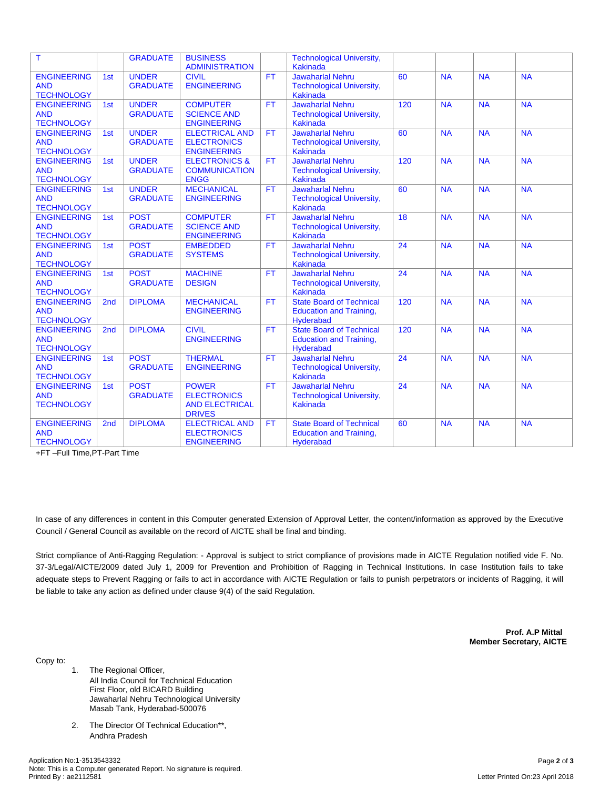| T                                                     |                 | <b>GRADUATE</b>                 | <b>BUSINESS</b><br><b>ADMINISTRATION</b>                                     |           | <b>Technological University,</b><br><b>Kakinada</b>                            |     |           |           |           |
|-------------------------------------------------------|-----------------|---------------------------------|------------------------------------------------------------------------------|-----------|--------------------------------------------------------------------------------|-----|-----------|-----------|-----------|
| <b>ENGINEERING</b><br><b>AND</b><br><b>TECHNOLOGY</b> | 1st             | <b>UNDER</b><br><b>GRADUATE</b> | <b>CIVIL</b><br><b>ENGINEERING</b>                                           | FT.       | <b>Jawaharlal Nehru</b><br><b>Technological University,</b><br><b>Kakinada</b> | 60  | <b>NA</b> | <b>NA</b> | <b>NA</b> |
| <b>ENGINEERING</b><br><b>AND</b><br><b>TECHNOLOGY</b> | 1st             | <b>UNDER</b><br><b>GRADUATE</b> | <b>COMPUTER</b><br><b>SCIENCE AND</b><br><b>ENGINEERING</b>                  | FT.       | <b>Jawaharlal Nehru</b><br><b>Technological University,</b><br>Kakinada        | 120 | <b>NA</b> | <b>NA</b> | <b>NA</b> |
| <b>ENGINEERING</b><br><b>AND</b><br><b>TECHNOLOGY</b> | 1st             | <b>UNDER</b><br><b>GRADUATE</b> | <b>ELECTRICAL AND</b><br><b>ELECTRONICS</b><br><b>ENGINEERING</b>            | FT.       | <b>Jawaharlal Nehru</b><br><b>Technological University,</b><br><b>Kakinada</b> | 60  | <b>NA</b> | <b>NA</b> | <b>NA</b> |
| <b>ENGINEERING</b><br><b>AND</b><br><b>TECHNOLOGY</b> | 1st             | <b>UNDER</b><br><b>GRADUATE</b> | <b>ELECTRONICS &amp;</b><br><b>COMMUNICATION</b><br><b>ENGG</b>              | <b>FT</b> | <b>Jawaharlal Nehru</b><br><b>Technological University,</b><br><b>Kakinada</b> | 120 | <b>NA</b> | <b>NA</b> | <b>NA</b> |
| <b>ENGINEERING</b><br><b>AND</b><br><b>TECHNOLOGY</b> | 1st             | <b>UNDER</b><br><b>GRADUATE</b> | <b>MECHANICAL</b><br><b>ENGINEERING</b>                                      | <b>FT</b> | Jawaharlal Nehru<br><b>Technological University,</b><br><b>Kakinada</b>        | 60  | <b>NA</b> | <b>NA</b> | <b>NA</b> |
| <b>ENGINEERING</b><br><b>AND</b><br><b>TECHNOLOGY</b> | 1st             | <b>POST</b><br><b>GRADUATE</b>  | <b>COMPUTER</b><br><b>SCIENCE AND</b><br><b>ENGINEERING</b>                  | <b>FT</b> | <b>Jawaharlal Nehru</b><br><b>Technological University,</b><br><b>Kakinada</b> | 18  | <b>NA</b> | <b>NA</b> | <b>NA</b> |
| <b>ENGINEERING</b><br><b>AND</b><br><b>TECHNOLOGY</b> | 1st             | <b>POST</b><br><b>GRADUATE</b>  | <b>EMBEDDED</b><br><b>SYSTEMS</b>                                            | <b>FT</b> | Jawaharlal Nehru<br><b>Technological University,</b><br><b>Kakinada</b>        | 24  | <b>NA</b> | <b>NA</b> | <b>NA</b> |
| <b>ENGINEERING</b><br><b>AND</b><br><b>TECHNOLOGY</b> | 1st             | <b>POST</b><br><b>GRADUATE</b>  | <b>MACHINE</b><br><b>DESIGN</b>                                              | <b>FT</b> | <b>Jawaharlal Nehru</b><br><b>Technological University,</b><br><b>Kakinada</b> | 24  | <b>NA</b> | <b>NA</b> | <b>NA</b> |
| <b>ENGINEERING</b><br><b>AND</b><br><b>TECHNOLOGY</b> | 2 <sub>nd</sub> | <b>DIPLOMA</b>                  | <b>MECHANICAL</b><br><b>ENGINEERING</b>                                      | <b>FT</b> | <b>State Board of Technical</b><br><b>Education and Training,</b><br>Hyderabad | 120 | <b>NA</b> | <b>NA</b> | <b>NA</b> |
| <b>ENGINEERING</b><br><b>AND</b><br><b>TECHNOLOGY</b> | 2nd             | <b>DIPLOMA</b>                  | <b>CIVIL</b><br><b>ENGINEERING</b>                                           | <b>FT</b> | <b>State Board of Technical</b><br><b>Education and Training,</b><br>Hyderabad | 120 | <b>NA</b> | <b>NA</b> | <b>NA</b> |
| <b>ENGINEERING</b><br><b>AND</b><br><b>TECHNOLOGY</b> | 1st             | <b>POST</b><br><b>GRADUATE</b>  | <b>THERMAL</b><br><b>ENGINEERING</b>                                         | FT.       | <b>Jawaharlal Nehru</b><br><b>Technological University,</b><br><b>Kakinada</b> | 24  | <b>NA</b> | <b>NA</b> | <b>NA</b> |
| <b>ENGINEERING</b><br><b>AND</b><br><b>TECHNOLOGY</b> | 1st             | <b>POST</b><br><b>GRADUATE</b>  | <b>POWER</b><br><b>ELECTRONICS</b><br><b>AND ELECTRICAL</b><br><b>DRIVES</b> | <b>FT</b> | <b>Jawaharlal Nehru</b><br><b>Technological University,</b><br><b>Kakinada</b> | 24  | <b>NA</b> | <b>NA</b> | <b>NA</b> |
| <b>ENGINEERING</b><br><b>AND</b><br><b>TECHNOLOGY</b> | 2 <sub>nd</sub> | <b>DIPLOMA</b>                  | <b>ELECTRICAL AND</b><br><b>ELECTRONICS</b><br><b>ENGINEERING</b>            | FT.       | <b>State Board of Technical</b><br><b>Education and Training,</b><br>Hyderabad | 60  | <b>NA</b> | <b>NA</b> | <b>NA</b> |

+FT –Full Time,PT-Part Time

In case of any differences in content in this Computer generated Extension of Approval Letter, the content/information as approved by the Executive Council / General Council as available on the record of AICTE shall be final and binding.

Strict compliance of Anti-Ragging Regulation: - Approval is subject to strict compliance of provisions made in AICTE Regulation notified vide F. No. 37-3/Legal/AICTE/2009 dated July 1, 2009 for Prevention and Prohibition of Ragging in Technical Institutions. In case Institution fails to take adequate steps to Prevent Ragging or fails to act in accordance with AICTE Regulation or fails to punish perpetrators or incidents of Ragging, it will be liable to take any action as defined under clause 9(4) of the said Regulation.

> **Prof. A.P Mittal Member Secretary, AICTE**

Copy to:

- 1. The Regional Officer, All India Council for Technical Education First Floor, old BICARD Building Jawaharlal Nehru Technological University Masab Tank, Hyderabad-500076
- 2. The Director Of Technical Education\*\*, Andhra Pradesh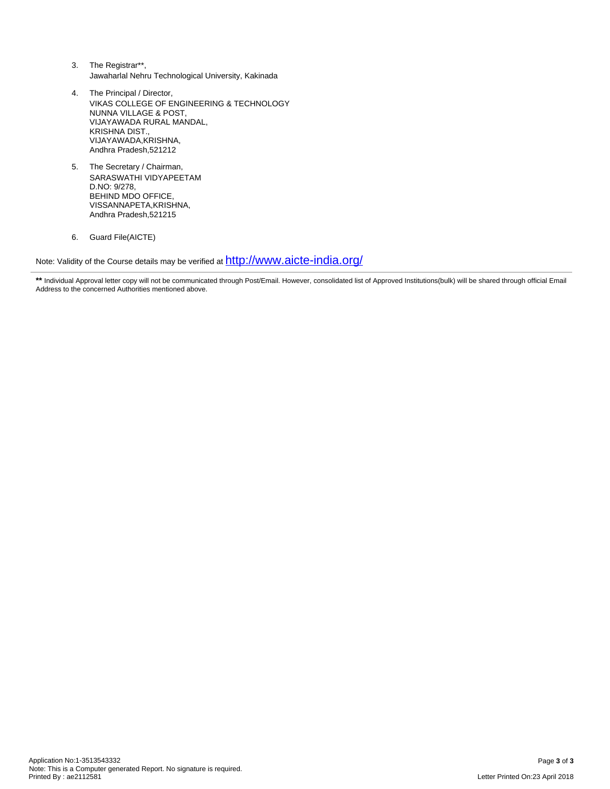- 3. The Registrar\*\*, Jawaharlal Nehru Technological University, Kakinada
- 4. The Principal / Director, VIKAS COLLEGE OF ENGINEERING & TECHNOLOGY NUNNA VILLAGE & POST, VIJAYAWADA RURAL MANDAL, KRISHNA DIST., VIJAYAWADA, KRISHNA, Andhra Pradesh,521212
- 5. The Secretary / Chairman, SARASWATHI VIDYAPEETAM D.NO: 9/278, BEHIND MDO OFFICE, VISSANNAPETA,KRISHNA, Andhra Pradesh,521215
- 6. Guard File(AICTE)

Note: Validity of the Course details may be verified at  $\frac{\text{http://www.aicte-india.org/}}{\text{http://www.aicte-india.org/}}$  $\frac{\text{http://www.aicte-india.org/}}{\text{http://www.aicte-india.org/}}$  $\frac{\text{http://www.aicte-india.org/}}{\text{http://www.aicte-india.org/}}$ 

<sup>\*\*</sup> Individual Approval letter copy will not be communicated through Post/Email. However, consolidated list of Approved Institutions(bulk) will be shared through official Email Address to the concerned Authorities mentioned above.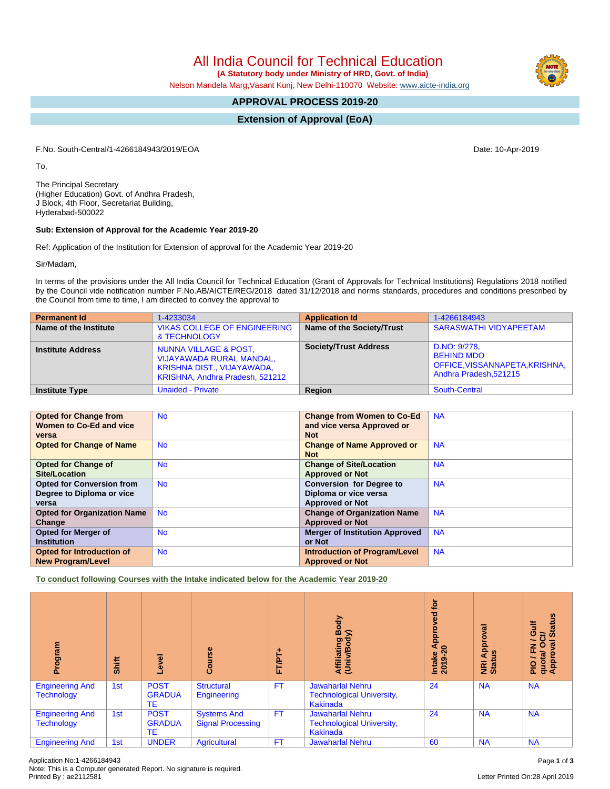**(A Statutory body under Ministry of HRD, Govt. of India)**

Nelson Mandela Marg,Vasant Kunj, New Delhi-110070 Website: [www.aicte-india.org](http://www.aicte-india.org)

## **APPROVAL PROCESS 2019-20**

**Extension of Approval (EoA)**

F.No. South-Central/1-4266184943/2019/EOA Date: 10-Apr-2019

To,

The Principal Secretary (Higher Education) Govt. of Andhra Pradesh, J Block, 4th Floor, Secretariat Building, Hyderabad-500022

#### **Sub: Extension of Approval for the Academic Year 2019-20**

Ref: Application of the Institution for Extension of approval for the Academic Year 2019-20

Sir/Madam,

In terms of the provisions under the All India Council for Technical Education (Grant of Approvals for Technical Institutions) Regulations 2018 notified by the Council vide notification number F.No.AB/AICTE/REG/2018 dated 31/12/2018 and norms standards, procedures and conditions prescribed by the Council from time to time, I am directed to convey the approval to

| <b>Permanent Id</b>      | 1-4233034                                                                                                                            | <b>Application Id</b>        | 1-4266184943                                                                                  |
|--------------------------|--------------------------------------------------------------------------------------------------------------------------------------|------------------------------|-----------------------------------------------------------------------------------------------|
| Name of the Institute    | <b>VIKAS COLLEGE OF ENGINEERING</b><br>& TECHNOLOGY                                                                                  | Name of the Society/Trust    | <b>SARASWATHI VIDYAPEETAM</b>                                                                 |
| <b>Institute Address</b> | <b>NUNNA VILLAGE &amp; POST,</b><br><b>VIJAYAWADA RURAL MANDAL,</b><br>KRISHNA DIST., VIJAYAWADA,<br>KRISHNA, Andhra Pradesh, 521212 | <b>Society/Trust Address</b> | D.NO: 9/278,<br><b>BEHIND MDO</b><br>OFFICE, VISSANNAPETA, KRISHNA,<br>Andhra Pradesh, 521215 |
| <b>Institute Type</b>    | <b>Unaided - Private</b>                                                                                                             | <b>Region</b>                | South-Central                                                                                 |

| <b>Opted for Change from</b>       | <b>No</b> | <b>Change from Women to Co-Ed</b>     | <b>NA</b> |
|------------------------------------|-----------|---------------------------------------|-----------|
| Women to Co-Ed and vice            |           | and vice versa Approved or            |           |
| versa                              |           | <b>Not</b>                            |           |
| <b>Opted for Change of Name</b>    | <b>No</b> | <b>Change of Name Approved or</b>     | <b>NA</b> |
|                                    |           | <b>Not</b>                            |           |
| <b>Opted for Change of</b>         | <b>No</b> | <b>Change of Site/Location</b>        | <b>NA</b> |
| <b>Site/Location</b>               |           | <b>Approved or Not</b>                |           |
| <b>Opted for Conversion from</b>   | <b>No</b> | <b>Conversion for Degree to</b>       | <b>NA</b> |
| Degree to Diploma or vice          |           | Diploma or vice versa                 |           |
| versa                              |           | <b>Approved or Not</b>                |           |
| <b>Opted for Organization Name</b> | <b>No</b> | <b>Change of Organization Name</b>    | <b>NA</b> |
| Change                             |           | <b>Approved or Not</b>                |           |
| <b>Opted for Merger of</b>         | <b>No</b> | <b>Merger of Institution Approved</b> | <b>NA</b> |
| <b>Institution</b>                 |           | or Not                                |           |
| <b>Opted for Introduction of</b>   | <b>No</b> | <b>Introduction of Program/Level</b>  | <b>NA</b> |
| <b>New Program/Level</b>           |           | <b>Approved or Not</b>                |           |

**To conduct following Courses with the Intake indicated below for the Academic Year 2019-20**

| mediou<br>ā                                 | Shift | Level                              | Course                                         | ۰<br>FT/PT | Body<br>⋦<br>Affiliating<br>(Univ/Bod <sub>)</sub>                      | for<br>yed<br>ö<br>Appr<br>$9-2$<br><b>Intake</b><br>2019-2 | Approval<br>3<br>NRI<br>Stat | <b>Status</b><br><b>Gulf</b><br>$\vec{c}$<br>$\overline{\phantom{0}}$<br>ड़<br>$\circ$<br>준<br>quota/<br>Approv<br>PIO |
|---------------------------------------------|-------|------------------------------------|------------------------------------------------|------------|-------------------------------------------------------------------------|-------------------------------------------------------------|------------------------------|------------------------------------------------------------------------------------------------------------------------|
| <b>Engineering And</b><br><b>Technology</b> | 1st   | <b>POST</b><br><b>GRADUA</b><br>TE | <b>Structural</b><br>Engineering               | <b>FT</b>  | <b>Jawaharlal Nehru</b><br><b>Technological University,</b><br>Kakinada | 24                                                          | <b>NA</b>                    | <b>NA</b>                                                                                                              |
| <b>Engineering And</b><br><b>Technology</b> | 1st   | <b>POST</b><br><b>GRADUA</b><br>TE | <b>Systems And</b><br><b>Signal Processing</b> | <b>FT</b>  | <b>Jawaharlal Nehru</b><br><b>Technological University,</b><br>Kakinada | 24                                                          | <b>NA</b>                    | <b>NA</b>                                                                                                              |
| <b>Engineering And</b>                      | 1st   | <b>UNDER</b>                       | Agricultural                                   | <b>FT</b>  | <b>Jawaharlal Nehru</b>                                                 | 60                                                          | <b>NA</b>                    | <b>NA</b>                                                                                                              |



Letter Printed On:28 April 2019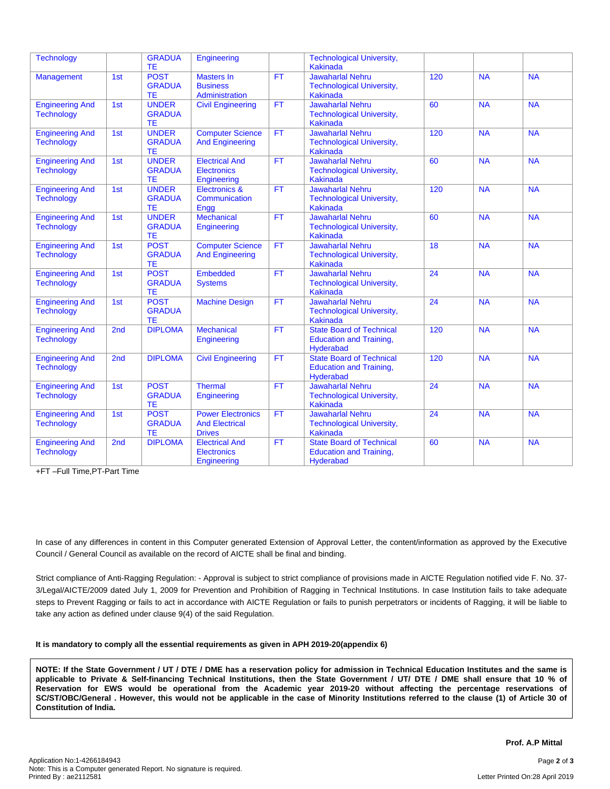| <b>Technology</b>                           |     | <b>GRADUA</b><br>TE.                       | Engineering                                                        |           | <b>Technological University,</b><br><b>Kakinada</b>                                   |                 |           |                          |
|---------------------------------------------|-----|--------------------------------------------|--------------------------------------------------------------------|-----------|---------------------------------------------------------------------------------------|-----------------|-----------|--------------------------|
| <b>Management</b>                           | 1st | <b>POST</b><br><b>GRADUA</b><br>ТE         | <b>Masters In</b><br><b>Business</b><br>Administration             | <b>FT</b> | <b>Jawaharlal Nehru</b><br><b>Technological University,</b><br><b>Kakinada</b>        | 120             | <b>NA</b> | <b>NA</b>                |
| <b>Engineering And</b><br><b>Technology</b> | 1st | <b>UNDER</b><br><b>GRADUA</b><br><b>TE</b> | <b>Civil Engineering</b>                                           | <b>FT</b> | <b>Jawaharlal Nehru</b><br><b>Technological University,</b><br><b>Kakinada</b>        | 60              | <b>NA</b> | <b>NA</b>                |
| <b>Engineering And</b><br><b>Technology</b> | 1st | <b>UNDER</b><br><b>GRADUA</b><br><b>TE</b> | <b>Computer Science</b><br><b>And Engineering</b>                  | <b>FT</b> | Jawaharlal Nehru<br><b>Technological University,</b><br><b>Kakinada</b>               | 120             | <b>NA</b> | NA                       |
| <b>Engineering And</b><br><b>Technology</b> | 1st | <b>UNDER</b><br><b>GRADUA</b><br>ТE        | <b>Electrical And</b><br><b>Electronics</b><br>Engineering         | <b>FT</b> | <b>Jawaharlal Nehru</b><br><b>Technological University,</b><br><b>Kakinada</b>        | 60              | <b>NA</b> | <b>NA</b>                |
| <b>Engineering And</b><br><b>Technology</b> | 1st | <b>UNDER</b><br><b>GRADUA</b><br>ТE        | <b>Electronics &amp;</b><br>Communication<br>Engg                  | <b>FT</b> | <b>Jawaharlal Nehru</b><br><b>Technological University,</b><br><b>Kakinada</b>        | 120             | <b>NA</b> | <b>NA</b>                |
| <b>Engineering And</b><br><b>Technology</b> | 1st | <b>UNDER</b><br><b>GRADUA</b><br>TE        | <b>Mechanical</b><br>Engineering                                   | <b>FT</b> | <b>Jawaharlal Nehru</b><br><b>Technological University,</b><br><b>Kakinada</b>        | 60              | <b>NA</b> | <b>NA</b>                |
| <b>Engineering And</b><br><b>Technology</b> | 1st | <b>POST</b><br><b>GRADUA</b><br>ТE         | <b>Computer Science</b><br><b>And Engineering</b>                  | <b>FT</b> | <b>Jawaharlal Nehru</b><br><b>Technological University,</b><br><b>Kakinada</b>        | 18              | <b>NA</b> | <b>NA</b>                |
| <b>Engineering And</b><br><b>Technology</b> | 1st | <b>POST</b><br><b>GRADUA</b><br>TE         | Embedded<br><b>Systems</b>                                         | <b>FT</b> | <b>Jawaharlal Nehru</b><br><b>Technological University,</b><br><b>Kakinada</b>        | 24              | <b>NA</b> | <b>NA</b>                |
| <b>Engineering And</b><br><b>Technology</b> | 1st | <b>POST</b><br><b>GRADUA</b><br><b>TE</b>  | <b>Machine Design</b>                                              | <b>FT</b> | <b>Jawaharlal Nehru</b><br><b>Technological University,</b><br><b>Kakinada</b>        | 24              | <b>NA</b> | <b>NA</b>                |
| <b>Engineering And</b><br><b>Technology</b> | 2nd | <b>DIPLOMA</b>                             | <b>Mechanical</b><br>Engineering                                   | <b>FT</b> | <b>State Board of Technical</b><br><b>Education and Training,</b><br><b>Hyderabad</b> | 120             | <b>NA</b> | <b>NA</b>                |
| <b>Engineering And</b><br><b>Technology</b> | 2nd | <b>DIPLOMA</b>                             | <b>Civil Engineering</b>                                           | <b>FT</b> | <b>State Board of Technical</b><br><b>Education and Training,</b><br><b>Hyderabad</b> | 120             | <b>NA</b> | <b>NA</b>                |
| <b>Engineering And</b><br><b>Technology</b> | 1st | <b>POST</b><br><b>GRADUA</b><br><b>TE</b>  | <b>Thermal</b><br>Engineering                                      | FT        | <b>Jawaharlal Nehru</b><br><b>Technological University,</b><br><b>Kakinada</b>        | $\overline{24}$ | <b>NA</b> | $\overline{\mathsf{NA}}$ |
| <b>Engineering And</b><br><b>Technology</b> | 1st | <b>POST</b><br><b>GRADUA</b><br>TE         | <b>Power Electronics</b><br><b>And Electrical</b><br><b>Drives</b> | <b>FT</b> | <b>Jawaharlal Nehru</b><br><b>Technological University,</b><br><b>Kakinada</b>        | 24              | <b>NA</b> | <b>NA</b>                |
| <b>Engineering And</b><br><b>Technology</b> | 2nd | <b>DIPLOMA</b>                             | <b>Electrical And</b><br><b>Electronics</b><br>Engineering         | <b>FT</b> | <b>State Board of Technical</b><br><b>Education and Training,</b><br><b>Hyderabad</b> | 60              | <b>NA</b> | <b>NA</b>                |

+FT –Full Time,PT-Part Time

In case of any differences in content in this Computer generated Extension of Approval Letter, the content/information as approved by the Executive Council / General Council as available on the record of AICTE shall be final and binding.

Strict compliance of Anti-Ragging Regulation: - Approval is subject to strict compliance of provisions made in AICTE Regulation notified vide F. No. 37- 3/Legal/AICTE/2009 dated July 1, 2009 for Prevention and Prohibition of Ragging in Technical Institutions. In case Institution fails to take adequate steps to Prevent Ragging or fails to act in accordance with AICTE Regulation or fails to punish perpetrators or incidents of Ragging, it will be liable to take any action as defined under clause 9(4) of the said Regulation.

#### **It is mandatory to comply all the essential requirements as given in APH 2019-20(appendix 6)**

NOTE: If the State Government / UT / DTE / DME has a reservation policy for admission in Technical Education Institutes and the same is applicable to Private & Self-financing Technical Institutions, then the State Government / UT/ DTE / DME shall ensure that 10 % of Reservation for EWS would be operational from the Academic year 2019-20 without affecting the percentage reservations of SC/ST/OBC/General . However, this would not be applicable in the case of Minority Institutions referred to the clause (1) of Article 30 of **Constitution of India.**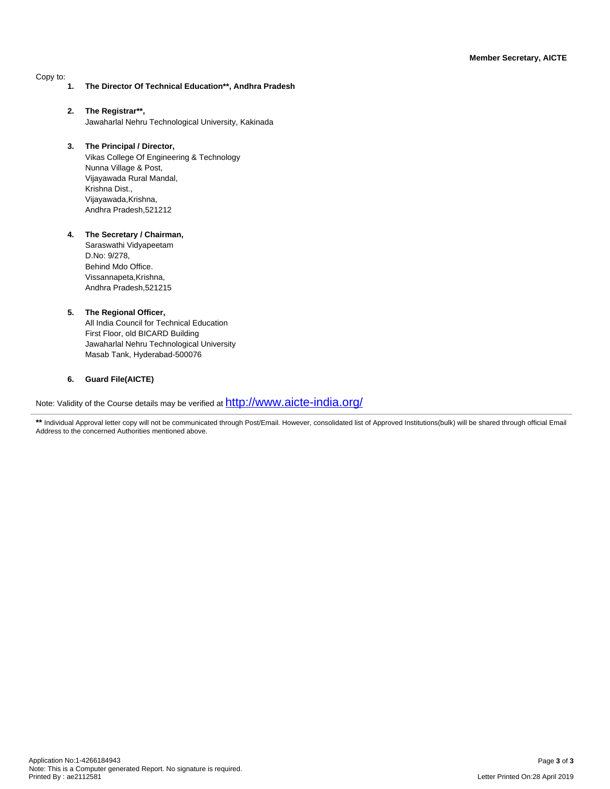Copy to:

- **1. The Director Of Technical Education\*\*, Andhra Pradesh**
- **2. The Registrar\*\*,** Jawaharlal Nehru Technological University, Kakinada
- **3. The Principal / Director,** Vikas College Of Engineering & Technology Nunna Village & Post, Vijayawada Rural Mandal, Krishna Dist., Vijayawada,Krishna, Andhra Pradesh,521212

#### **4. The Secretary / Chairman,**

Saraswathi Vidyapeetam D.No: 9/278, Behind Mdo Office. Vissannapeta,Krishna, Andhra Pradesh,521215

#### **5. The Regional Officer,**

All India Council for Technical Education First Floor, old BICARD Building Jawaharlal Nehru Technological University Masab Tank, Hyderabad-500076

#### **6. Guard File(AICTE)**

Note: Validity of the Course details may be verified at  $\frac{\text{http://www.aicte-india.org/}}{\text{http://www.aicte-india.org/}}$  $\frac{\text{http://www.aicte-india.org/}}{\text{http://www.aicte-india.org/}}$  $\frac{\text{http://www.aicte-india.org/}}{\text{http://www.aicte-india.org/}}$ 

\*\* Individual Approval letter copy will not be communicated through Post/Email. However, consolidated list of Approved Institutions(bulk) will be shared through official Email Address to the concerned Authorities mentioned above.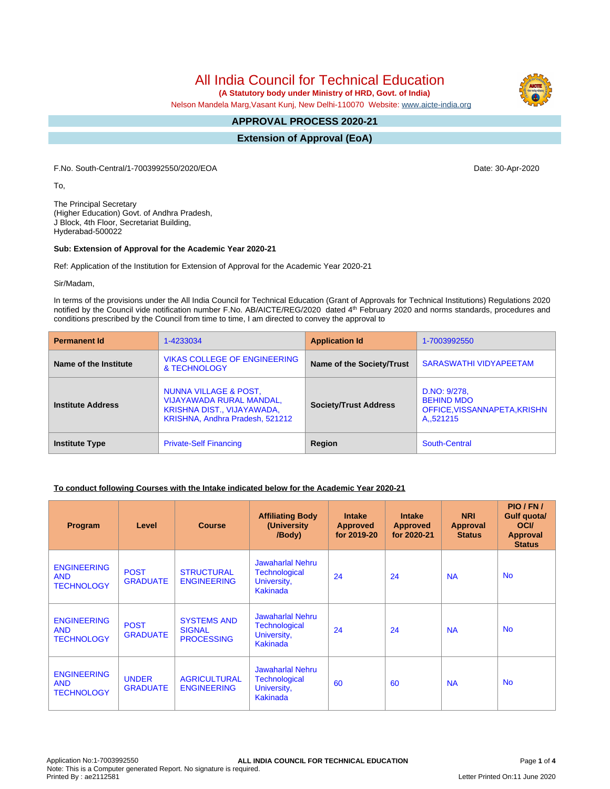**(A Statutory body under Ministry of HRD, Govt. of India)**

Nelson Mandela Marg,Vasant Kunj, New Delhi-110070 Website: [www.aicte-india.org](http://www.aicte-india.org)

#### **APPROVAL PROCESS 2020-21 -**

**Extension of Approval (EoA)**

F.No. South-Central/1-7003992550/2020/EOA Date: 30-Apr-2020

To,

The Principal Secretary (Higher Education) Govt. of Andhra Pradesh, J Block, 4th Floor, Secretariat Building, Hyderabad-500022

#### **Sub: Extension of Approval for the Academic Year 2020-21**

Ref: Application of the Institution for Extension of Approval for the Academic Year 2020-21

Sir/Madam,

In terms of the provisions under the All India Council for Technical Education (Grant of Approvals for Technical Institutions) Regulations 2020 notified by the Council vide notification number F.No. AB/AICTE/REG/2020 dated 4<sup>th</sup> February 2020 and norms standards, procedures and conditions prescribed by the Council from time to time, I am directed to convey the approval to

| <b>Permanent Id</b>      | 1-4233034                                                                                                                 | <b>Application Id</b>        | 1-7003992550                                                                               |
|--------------------------|---------------------------------------------------------------------------------------------------------------------------|------------------------------|--------------------------------------------------------------------------------------------|
| Name of the Institute    | <b>VIKAS COLLEGE OF ENGINEERING</b><br>& TECHNOLOGY                                                                       | Name of the Society/Trust    | <b>SARASWATHI VIDYAPEETAM</b>                                                              |
| <b>Institute Address</b> | NUNNA VILLAGE & POST,<br><b>VIJAYAWADA RURAL MANDAL,</b><br>KRISHNA DIST., VIJAYAWADA,<br>KRISHNA, Andhra Pradesh, 521212 | <b>Society/Trust Address</b> | D.NO: 9/278.<br><b>BEHIND MDO</b><br>OFFICE, VISSANNAPETA, KRISHN<br>A <sub>1</sub> 521215 |
| <b>Institute Type</b>    | <b>Private-Self Financing</b>                                                                                             | Region                       | South-Central                                                                              |

#### **To conduct following Courses with the Intake indicated below for the Academic Year 2020-21**

| Program                                               | Level                           | <b>Course</b>                                            | <b>Affiliating Body</b><br>(University<br>/Body)                           | <b>Intake</b><br><b>Approved</b><br>for 2019-20 | <b>Intake</b><br><b>Approved</b><br>for 2020-21 | <b>NRI</b><br>Approval<br><b>Status</b> | PIO/FN/<br>Gulf quota/<br><b>OCI</b><br><b>Approval</b><br><b>Status</b> |
|-------------------------------------------------------|---------------------------------|----------------------------------------------------------|----------------------------------------------------------------------------|-------------------------------------------------|-------------------------------------------------|-----------------------------------------|--------------------------------------------------------------------------|
| <b>ENGINEERING</b><br><b>AND</b><br><b>TECHNOLOGY</b> | <b>POST</b><br><b>GRADUATE</b>  | <b>STRUCTURAL</b><br><b>ENGINEERING</b>                  | <b>Jawaharlal Nehru</b><br><b>Technological</b><br>University,<br>Kakinada | 24                                              | 24                                              | <b>NA</b>                               | <b>No</b>                                                                |
| <b>ENGINEERING</b><br><b>AND</b><br><b>TECHNOLOGY</b> | <b>POST</b><br><b>GRADUATE</b>  | <b>SYSTEMS AND</b><br><b>SIGNAL</b><br><b>PROCESSING</b> | <b>Jawaharlal Nehru</b><br><b>Technological</b><br>University,<br>Kakinada | 24                                              | 24                                              | <b>NA</b>                               | <b>No</b>                                                                |
| <b>ENGINEERING</b><br><b>AND</b><br><b>TECHNOLOGY</b> | <b>UNDER</b><br><b>GRADUATE</b> | <b>AGRICULTURAL</b><br><b>ENGINEERING</b>                | <b>Jawaharlal Nehru</b><br><b>Technological</b><br>University,<br>Kakinada | 60                                              | 60                                              | <b>NA</b>                               | <b>No</b>                                                                |

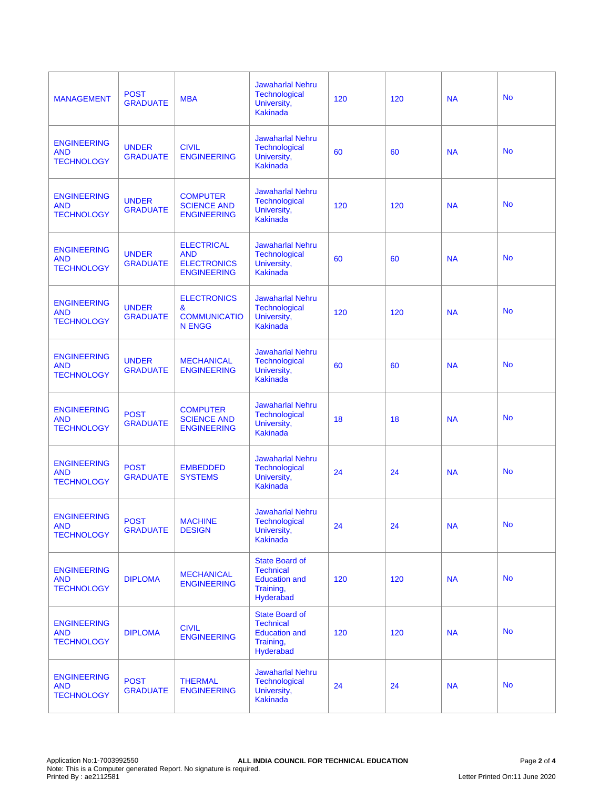| <b>MANAGEMENT</b>                                     | <b>POST</b><br><b>GRADUATE</b>  | <b>MBA</b>                                                                  | <b>Jawaharlal Nehru</b><br><b>Technological</b><br>University,<br><b>Kakinada</b>           | 120 | 120 | <b>NA</b> | <b>No</b> |
|-------------------------------------------------------|---------------------------------|-----------------------------------------------------------------------------|---------------------------------------------------------------------------------------------|-----|-----|-----------|-----------|
| <b>ENGINEERING</b><br><b>AND</b><br><b>TECHNOLOGY</b> | <b>UNDER</b><br><b>GRADUATE</b> | <b>CIVIL</b><br><b>ENGINEERING</b>                                          | <b>Jawaharlal Nehru</b><br><b>Technological</b><br>University,<br><b>Kakinada</b>           | 60  | 60  | <b>NA</b> | <b>No</b> |
| <b>ENGINEERING</b><br><b>AND</b><br><b>TECHNOLOGY</b> | <b>UNDER</b><br><b>GRADUATE</b> | <b>COMPUTER</b><br><b>SCIENCE AND</b><br><b>ENGINEERING</b>                 | <b>Jawaharlal Nehru</b><br><b>Technological</b><br>University,<br><b>Kakinada</b>           | 120 | 120 | <b>NA</b> | <b>No</b> |
| <b>ENGINEERING</b><br><b>AND</b><br><b>TECHNOLOGY</b> | <b>UNDER</b><br><b>GRADUATE</b> | <b>ELECTRICAL</b><br><b>AND</b><br><b>ELECTRONICS</b><br><b>ENGINEERING</b> | <b>Jawaharlal Nehru</b><br>Technological<br>University,<br><b>Kakinada</b>                  | 60  | 60  | <b>NA</b> | <b>No</b> |
| <b>ENGINEERING</b><br><b>AND</b><br><b>TECHNOLOGY</b> | <b>UNDER</b><br><b>GRADUATE</b> | <b>ELECTRONICS</b><br>&<br><b>COMMUNICATIO</b><br><b>N ENGG</b>             | <b>Jawaharlal Nehru</b><br><b>Technological</b><br>University,<br><b>Kakinada</b>           | 120 | 120 | <b>NA</b> | <b>No</b> |
| <b>ENGINEERING</b><br><b>AND</b><br><b>TECHNOLOGY</b> | <b>UNDER</b><br><b>GRADUATE</b> | <b>MECHANICAL</b><br><b>ENGINEERING</b>                                     | <b>Jawaharlal Nehru</b><br>Technological<br>University,<br><b>Kakinada</b>                  | 60  | 60  | <b>NA</b> | <b>No</b> |
| <b>ENGINEERING</b><br><b>AND</b><br><b>TECHNOLOGY</b> | <b>POST</b><br><b>GRADUATE</b>  | <b>COMPUTER</b><br><b>SCIENCE AND</b><br><b>ENGINEERING</b>                 | <b>Jawaharlal Nehru</b><br>Technological<br>University,<br><b>Kakinada</b>                  | 18  | 18  | <b>NA</b> | <b>No</b> |
| <b>ENGINEERING</b><br><b>AND</b><br><b>TECHNOLOGY</b> | <b>POST</b><br><b>GRADUATE</b>  | <b>EMBEDDED</b><br><b>SYSTEMS</b>                                           | <b>Jawaharlal Nehru</b><br>Technological<br>University,<br>Kakinada                         | 24  | 24  | <b>NA</b> | <b>No</b> |
| <b>ENGINEERING</b><br><b>AND</b><br><b>TECHNOLOGY</b> | <b>POST</b><br><b>GRADUATE</b>  | <b>MACHINE</b><br><b>DESIGN</b>                                             | <b>Jawaharlal Nehru</b><br><b>Technological</b><br>University,<br>Kakinada                  | 24  | 24  | <b>NA</b> | <b>No</b> |
| <b>ENGINEERING</b><br><b>AND</b><br><b>TECHNOLOGY</b> | <b>DIPLOMA</b>                  | <b>MECHANICAL</b><br><b>ENGINEERING</b>                                     | <b>State Board of</b><br><b>Technical</b><br><b>Education and</b><br>Training,<br>Hyderabad | 120 | 120 | <b>NA</b> | <b>No</b> |
| <b>ENGINEERING</b><br><b>AND</b><br><b>TECHNOLOGY</b> | <b>DIPLOMA</b>                  | <b>CIVIL</b><br><b>ENGINEERING</b>                                          | <b>State Board of</b><br><b>Technical</b><br><b>Education and</b><br>Training,<br>Hyderabad | 120 | 120 | <b>NA</b> | <b>No</b> |
| <b>ENGINEERING</b><br><b>AND</b><br><b>TECHNOLOGY</b> | <b>POST</b><br><b>GRADUATE</b>  | <b>THERMAL</b><br><b>ENGINEERING</b>                                        | <b>Jawaharlal Nehru</b><br><b>Technological</b><br>University,<br><b>Kakinada</b>           | 24  | 24  | <b>NA</b> | <b>No</b> |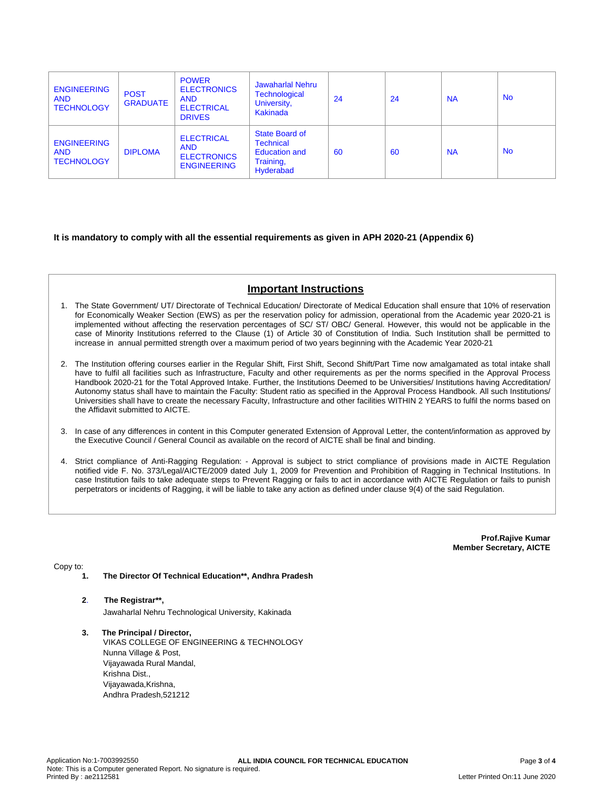| <b>ENGINEERING</b><br><b>AND</b><br><b>TECHNOLOGY</b> | <b>POST</b><br><b>GRADUATE</b> | <b>POWER</b><br><b>ELECTRONICS</b><br><b>AND</b><br><b>ELECTRICAL</b><br><b>DRIVES</b> | <b>Jawaharlal Nehru</b><br><b>Technological</b><br>University,<br>Kakinada           | 24 | 24 | <b>NA</b> | <b>No</b> |
|-------------------------------------------------------|--------------------------------|----------------------------------------------------------------------------------------|--------------------------------------------------------------------------------------|----|----|-----------|-----------|
| <b>ENGINEERING</b><br><b>AND</b><br><b>TECHNOLOGY</b> | <b>DIPLOMA</b>                 | <b>ELECTRICAL</b><br><b>AND</b><br><b>ELECTRONICS</b><br><b>ENGINEERING</b>            | State Board of<br><b>Technical</b><br><b>Education and</b><br>Training,<br>Hyderabad | 60 | 60 | <b>NA</b> | <b>No</b> |

#### **It is mandatory to comply with all the essential requirements as given in APH 2020-21 (Appendix 6)**

### **Important Instructions**

- 1. The State Government/ UT/ Directorate of Technical Education/ Directorate of Medical Education shall ensure that 10% of reservation for Economically Weaker Section (EWS) as per the reservation policy for admission, operational from the Academic year 2020-21 is implemented without affecting the reservation percentages of SC/ ST/ OBC/ General. However, this would not be applicable in the case of Minority Institutions referred to the Clause (1) of Article 30 of Constitution of India. Such Institution shall be permitted to increase in annual permitted strength over a maximum period of two years beginning with the Academic Year 2020-21
- 2. The Institution offering courses earlier in the Regular Shift, First Shift, Second Shift/Part Time now amalgamated as total intake shall have to fulfil all facilities such as Infrastructure, Faculty and other requirements as per the norms specified in the Approval Process Handbook 2020-21 for the Total Approved Intake. Further, the Institutions Deemed to be Universities/ Institutions having Accreditation/ Autonomy status shall have to maintain the Faculty: Student ratio as specified in the Approval Process Handbook. All such Institutions/ Universities shall have to create the necessary Faculty, Infrastructure and other facilities WITHIN 2 YEARS to fulfil the norms based on the Affidavit submitted to AICTE.
- 3. In case of any differences in content in this Computer generated Extension of Approval Letter, the content/information as approved by the Executive Council / General Council as available on the record of AICTE shall be final and binding.
- 4. Strict compliance of Anti-Ragging Regulation: Approval is subject to strict compliance of provisions made in AICTE Regulation notified vide F. No. 373/Legal/AICTE/2009 dated July 1, 2009 for Prevention and Prohibition of Ragging in Technical Institutions. In case Institution fails to take adequate steps to Prevent Ragging or fails to act in accordance with AICTE Regulation or fails to punish perpetrators or incidents of Ragging, it will be liable to take any action as defined under clause 9(4) of the said Regulation.

**Prof.Rajive Kumar Member Secretary, AICTE**

Copy to:

- **1. The Director Of Technical Education\*\*, Andhra Pradesh**
- **2**. **The Registrar\*\*,** Jawaharlal Nehru Technological University, Kakinada
- **3. The Principal / Director,** VIKAS COLLEGE OF ENGINEERING & TECHNOLOGY Nunna Village & Post, Vijayawada Rural Mandal, Krishna Dist., Vijayawada,Krishna, Andhra Pradesh,521212